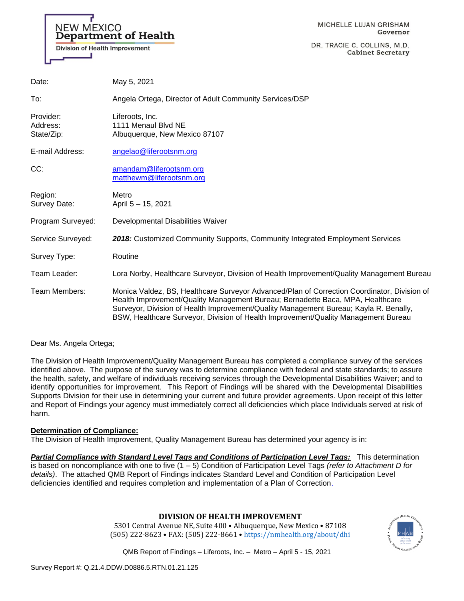

MICHELLE LUJAN GRISHAM Governor

DR. TRACIE C. COLLINS, M.D. **Cabinet Secretary** 

| Date:                               | May 5, 2021                                                                                                                                                                                                                                                                                                                                                  |
|-------------------------------------|--------------------------------------------------------------------------------------------------------------------------------------------------------------------------------------------------------------------------------------------------------------------------------------------------------------------------------------------------------------|
| To:                                 | Angela Ortega, Director of Adult Community Services/DSP                                                                                                                                                                                                                                                                                                      |
| Provider:<br>Address:<br>State/Zip: | Liferoots, Inc.<br>1111 Menaul Blvd NE<br>Albuquerque, New Mexico 87107                                                                                                                                                                                                                                                                                      |
| E-mail Address:                     | angelao@liferootsnm.org                                                                                                                                                                                                                                                                                                                                      |
| CC:                                 | amandam@liferootsnm.org<br>matthewm@liferootsnm.org                                                                                                                                                                                                                                                                                                          |
| Region:<br>Survey Date:             | Metro<br>April 5 - 15, 2021                                                                                                                                                                                                                                                                                                                                  |
| Program Surveyed:                   | Developmental Disabilities Waiver                                                                                                                                                                                                                                                                                                                            |
| Service Surveyed:                   | 2018: Customized Community Supports, Community Integrated Employment Services                                                                                                                                                                                                                                                                                |
| Survey Type:                        | Routine                                                                                                                                                                                                                                                                                                                                                      |
| Team Leader:                        | Lora Norby, Healthcare Surveyor, Division of Health Improvement/Quality Management Bureau                                                                                                                                                                                                                                                                    |
| Team Members:                       | Monica Valdez, BS, Healthcare Surveyor Advanced/Plan of Correction Coordinator, Division of<br>Health Improvement/Quality Management Bureau; Bernadette Baca, MPA, Healthcare<br>Surveyor, Division of Health Improvement/Quality Management Bureau; Kayla R. Benally,<br>BSW, Healthcare Surveyor, Division of Health Improvement/Quality Management Bureau |

### Dear Ms. Angela Ortega;

The Division of Health Improvement/Quality Management Bureau has completed a compliance survey of the services identified above. The purpose of the survey was to determine compliance with federal and state standards; to assure the health, safety, and welfare of individuals receiving services through the Developmental Disabilities Waiver; and to identify opportunities for improvement. This Report of Findings will be shared with the Developmental Disabilities Supports Division for their use in determining your current and future provider agreements. Upon receipt of this letter and Report of Findings your agency must immediately correct all deficiencies which place Individuals served at risk of harm.

### **Determination of Compliance:**

The Division of Health Improvement, Quality Management Bureau has determined your agency is in:

*Partial Compliance with Standard Level Tags and Conditions of Participation Level Tags:* This determination is based on noncompliance with one to five (1 – 5) Condition of Participation Level Tags *(refer to Attachment D for details)*. The attached QMB Report of Findings indicates Standard Level and Condition of Participation Level deficiencies identified and requires completion and implementation of a Plan of Correction.

# **DIVISION OF HEALTH IMPROVEMENT**

5301 Central Avenue NE, Suite 400 • Albuquerque, New Mexico • 87108 (505) 222-8623 • FAX: (505) 222-8661 • <https://nmhealth.org/about/dhi>

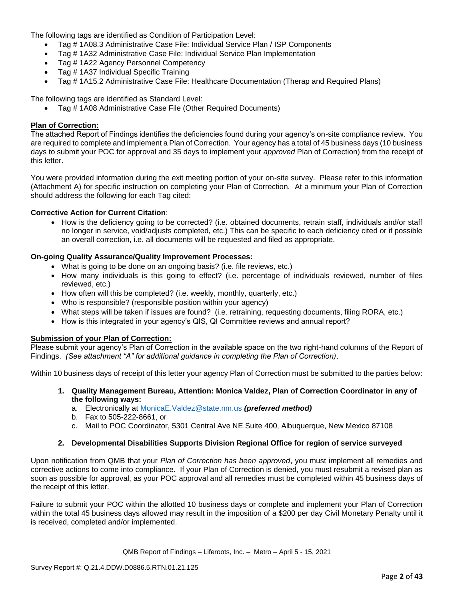The following tags are identified as Condition of Participation Level:

- Tag # 1A08.3 Administrative Case File: Individual Service Plan / ISP Components
- Tag # 1A32 Administrative Case File: Individual Service Plan Implementation
- Tag # 1A22 Agency Personnel Competency
- Tag # 1A37 Individual Specific Training
- Tag # 1A15.2 Administrative Case File: Healthcare Documentation (Therap and Required Plans)

The following tags are identified as Standard Level:

• Tag # 1A08 Administrative Case File (Other Required Documents)

### **Plan of Correction:**

The attached Report of Findings identifies the deficiencies found during your agency's on-site compliance review. You are required to complete and implement a Plan of Correction. Your agency has a total of 45 business days (10 business days to submit your POC for approval and 35 days to implement your *approved* Plan of Correction) from the receipt of this letter.

You were provided information during the exit meeting portion of your on-site survey. Please refer to this information (Attachment A) for specific instruction on completing your Plan of Correction. At a minimum your Plan of Correction should address the following for each Tag cited:

### **Corrective Action for Current Citation**:

• How is the deficiency going to be corrected? (i.e. obtained documents, retrain staff, individuals and/or staff no longer in service, void/adjusts completed, etc.) This can be specific to each deficiency cited or if possible an overall correction, i.e. all documents will be requested and filed as appropriate.

# **On-going Quality Assurance/Quality Improvement Processes:**

- What is going to be done on an ongoing basis? (i.e. file reviews, etc.)
- How many individuals is this going to effect? (i.e. percentage of individuals reviewed, number of files reviewed, etc.)
- How often will this be completed? (i.e. weekly, monthly, quarterly, etc.)
- Who is responsible? (responsible position within your agency)
- What steps will be taken if issues are found? (i.e. retraining, requesting documents, filing RORA, etc.)
- How is this integrated in your agency's QIS, QI Committee reviews and annual report?

### **Submission of your Plan of Correction:**

Please submit your agency's Plan of Correction in the available space on the two right-hand columns of the Report of Findings. *(See attachment "A" for additional guidance in completing the Plan of Correction)*.

Within 10 business days of receipt of this letter your agency Plan of Correction must be submitted to the parties below:

- **1. Quality Management Bureau, Attention: Monica Valdez, Plan of Correction Coordinator in any of the following ways:**
	- a. Electronically at [MonicaE.Valdez@state.nm.us](mailto:MonicaE.Valdez@state.nm.us) *(preferred method)*
	- b. Fax to 505-222-8661, or
	- c. Mail to POC Coordinator, 5301 Central Ave NE Suite 400, Albuquerque, New Mexico 87108

### **2. Developmental Disabilities Supports Division Regional Office for region of service surveyed**

Upon notification from QMB that your *Plan of Correction has been approved*, you must implement all remedies and corrective actions to come into compliance. If your Plan of Correction is denied, you must resubmit a revised plan as soon as possible for approval, as your POC approval and all remedies must be completed within 45 business days of the receipt of this letter.

Failure to submit your POC within the allotted 10 business days or complete and implement your Plan of Correction within the total 45 business days allowed may result in the imposition of a \$200 per day Civil Monetary Penalty until it is received, completed and/or implemented.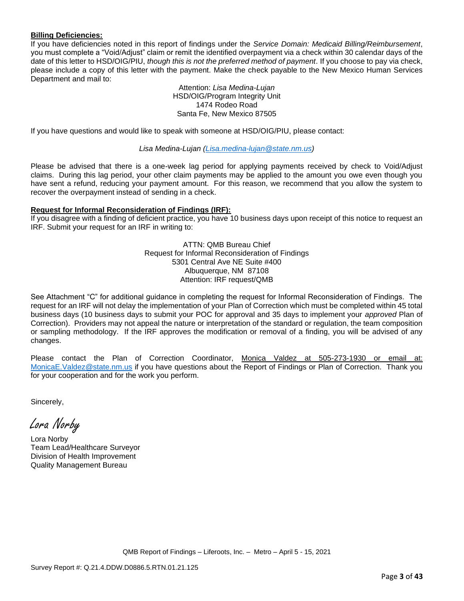### **Billing Deficiencies:**

If you have deficiencies noted in this report of findings under the *Service Domain: Medicaid Billing/Reimbursement*, you must complete a "Void/Adjust" claim or remit the identified overpayment via a check within 30 calendar days of the date of this letter to HSD/OIG/PIU, *though this is not the preferred method of payment*. If you choose to pay via check, please include a copy of this letter with the payment. Make the check payable to the New Mexico Human Services Department and mail to:

> Attention: *Lisa Medina-Lujan* HSD/OIG/Program Integrity Unit 1474 Rodeo Road Santa Fe, New Mexico 87505

If you have questions and would like to speak with someone at HSD/OIG/PIU, please contact:

*Lisa Medina-Lujan [\(Lisa.medina-lujan@state.nm.us\)](mailto:Lisa.medina-lujan@state.nm.us)*

Please be advised that there is a one-week lag period for applying payments received by check to Void/Adjust claims. During this lag period, your other claim payments may be applied to the amount you owe even though you have sent a refund, reducing your payment amount. For this reason, we recommend that you allow the system to recover the overpayment instead of sending in a check.

### **Request for Informal Reconsideration of Findings (IRF):**

If you disagree with a finding of deficient practice, you have 10 business days upon receipt of this notice to request an IRF. Submit your request for an IRF in writing to:

> ATTN: QMB Bureau Chief Request for Informal Reconsideration of Findings 5301 Central Ave NE Suite #400 Albuquerque, NM 87108 Attention: IRF request/QMB

See Attachment "C" for additional guidance in completing the request for Informal Reconsideration of Findings. The request for an IRF will not delay the implementation of your Plan of Correction which must be completed within 45 total business days (10 business days to submit your POC for approval and 35 days to implement your *approved* Plan of Correction). Providers may not appeal the nature or interpretation of the standard or regulation, the team composition or sampling methodology. If the IRF approves the modification or removal of a finding, you will be advised of any changes.

Please contact the Plan of Correction Coordinator, Monica Valdez at 505-273-1930 or email at: [MonicaE.Valdez@state.nm.us](mailto:MonicaE.Valdez@state.nm.us) if you have questions about the Report of Findings or Plan of Correction. Thank you for your cooperation and for the work you perform.

Sincerely,

Lora Norby

Lora Norby Team Lead/Healthcare Surveyor Division of Health Improvement Quality Management Bureau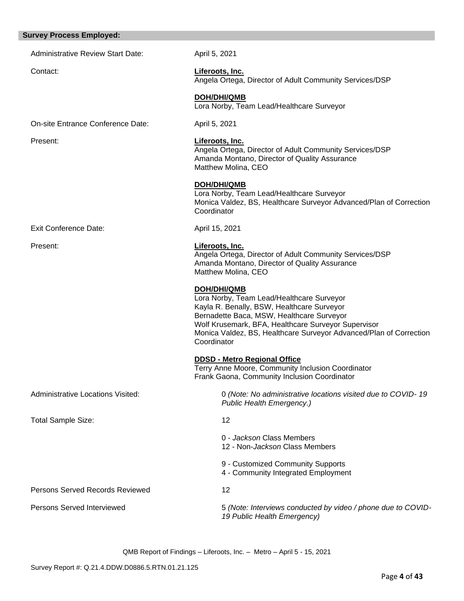# **Survey Process Employed:**  Administrative Review Start Date: April 5, 2021 Contact: **Liferoots, Inc.** Angela Ortega, Director of Adult Community Services/DSP **DOH/DHI/QMB** Lora Norby, Team Lead/Healthcare Surveyor On-site Entrance Conference Date: April 5, 2021 Present: **Liferoots, Inc.** Angela Ortega, Director of Adult Community Services/DSP Amanda Montano, Director of Quality Assurance Matthew Molina, CEO **DOH/DHI/QMB** Lora Norby, Team Lead/Healthcare Surveyor Monica Valdez, BS, Healthcare Surveyor Advanced/Plan of Correction **Coordinator** Exit Conference Date: April 15, 2021 Present: **Liferoots, Inc.** Angela Ortega, Director of Adult Community Services/DSP Amanda Montano, Director of Quality Assurance Matthew Molina, CEO **DOH/DHI/QMB** Lora Norby, Team Lead/Healthcare Surveyor Kayla R. Benally, BSW, Healthcare Surveyor Bernadette Baca, MSW, Healthcare Surveyor Wolf Krusemark, BFA, Healthcare Surveyor Supervisor Monica Valdez, BS, Healthcare Surveyor Advanced/Plan of Correction **Coordinator DDSD - Metro Regional Office**  Terry Anne Moore, Community Inclusion Coordinator Frank Gaona, Community Inclusion Coordinator Administrative Locations Visited: 0 *(Note: No administrative locations visited due to COVID- 19 Public Health Emergency.)*  Total Sample Size: 12 0 - *Jackson* Class Members 12 - Non-*Jackson* Class Members 9 - Customized Community Supports 4 - Community Integrated Employment Persons Served Records Reviewed 12 Persons Served Interviewed **Fig. 2018** 15 *(Note: Interviews conducted by video / phone due to COVID-19 Public Health Emergency)*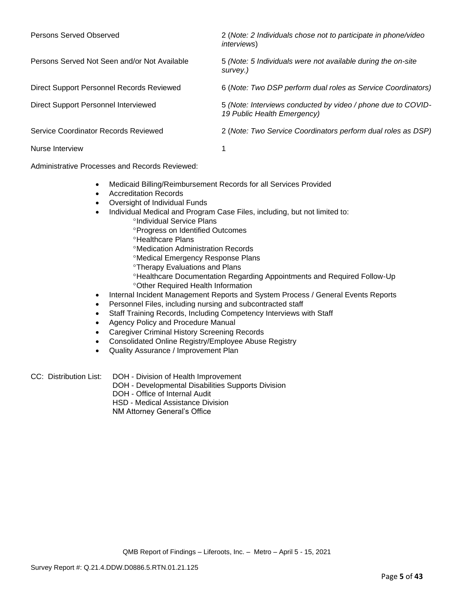| Persons Served Observed                      | 2 (Note: 2 Individuals chose not to participate in phone/video<br><i>interviews</i> )       |
|----------------------------------------------|---------------------------------------------------------------------------------------------|
| Persons Served Not Seen and/or Not Available | 5 (Note: 5 Individuals were not available during the on-site<br>survey.)                    |
| Direct Support Personnel Records Reviewed    | 6 (Note: Two DSP perform dual roles as Service Coordinators)                                |
| Direct Support Personnel Interviewed         | 5 (Note: Interviews conducted by video / phone due to COVID-<br>19 Public Health Emergency) |
| Service Coordinator Records Reviewed         | 2 (Note: Two Service Coordinators perform dual roles as DSP)                                |
| Nurse Interview                              |                                                                                             |

Administrative Processes and Records Reviewed:

- Medicaid Billing/Reimbursement Records for all Services Provided
- Accreditation Records
- Oversight of Individual Funds
- Individual Medical and Program Case Files, including, but not limited to:
	- <sup>o</sup>Individual Service Plans Progress on Identified Outcomes
	- **<sup>o</sup>Healthcare Plans**
	- Medication Administration Records
	- Medical Emergency Response Plans
	- **Therapy Evaluations and Plans**
	- Healthcare Documentation Regarding Appointments and Required Follow-Up Other Required Health Information
- Internal Incident Management Reports and System Process / General Events Reports
- Personnel Files, including nursing and subcontracted staff
- Staff Training Records, Including Competency Interviews with Staff
- Agency Policy and Procedure Manual
- Caregiver Criminal History Screening Records
- Consolidated Online Registry/Employee Abuse Registry
- Quality Assurance / Improvement Plan

CC: Distribution List: DOH - Division of Health Improvement DOH - Developmental Disabilities Supports Division DOH - Office of Internal Audit HSD - Medical Assistance Division

NM Attorney General's Office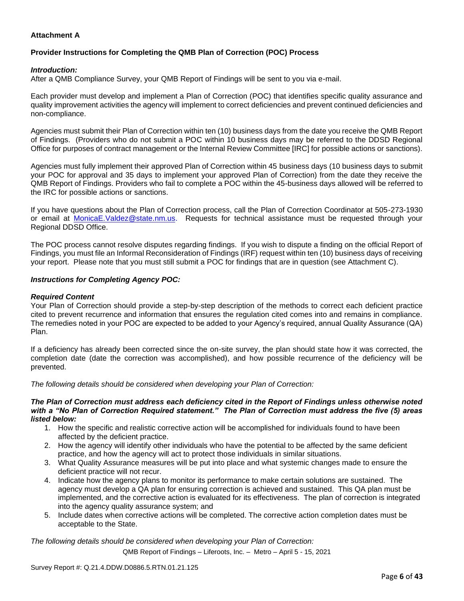# **Attachment A**

# **Provider Instructions for Completing the QMB Plan of Correction (POC) Process**

### *Introduction:*

After a QMB Compliance Survey, your QMB Report of Findings will be sent to you via e-mail.

Each provider must develop and implement a Plan of Correction (POC) that identifies specific quality assurance and quality improvement activities the agency will implement to correct deficiencies and prevent continued deficiencies and non-compliance.

Agencies must submit their Plan of Correction within ten (10) business days from the date you receive the QMB Report of Findings. (Providers who do not submit a POC within 10 business days may be referred to the DDSD Regional Office for purposes of contract management or the Internal Review Committee [IRC] for possible actions or sanctions).

Agencies must fully implement their approved Plan of Correction within 45 business days (10 business days to submit your POC for approval and 35 days to implement your approved Plan of Correction) from the date they receive the QMB Report of Findings. Providers who fail to complete a POC within the 45-business days allowed will be referred to the IRC for possible actions or sanctions.

If you have questions about the Plan of Correction process, call the Plan of Correction Coordinator at 505-273-1930 or email at [MonicaE.Valdez@state.nm.us.](mailto:MonicaE.Valdez@state.nm.us) Requests for technical assistance must be requested through your Regional DDSD Office.

The POC process cannot resolve disputes regarding findings. If you wish to dispute a finding on the official Report of Findings, you must file an Informal Reconsideration of Findings (IRF) request within ten (10) business days of receiving your report. Please note that you must still submit a POC for findings that are in question (see Attachment C).

### *Instructions for Completing Agency POC:*

### *Required Content*

Your Plan of Correction should provide a step-by-step description of the methods to correct each deficient practice cited to prevent recurrence and information that ensures the regulation cited comes into and remains in compliance. The remedies noted in your POC are expected to be added to your Agency's required, annual Quality Assurance (QA) Plan.

If a deficiency has already been corrected since the on-site survey, the plan should state how it was corrected, the completion date (date the correction was accomplished), and how possible recurrence of the deficiency will be prevented.

*The following details should be considered when developing your Plan of Correction:*

#### *The Plan of Correction must address each deficiency cited in the Report of Findings unless otherwise noted with a "No Plan of Correction Required statement." The Plan of Correction must address the five (5) areas listed below:*

- 1. How the specific and realistic corrective action will be accomplished for individuals found to have been affected by the deficient practice.
- 2. How the agency will identify other individuals who have the potential to be affected by the same deficient practice, and how the agency will act to protect those individuals in similar situations.
- 3. What Quality Assurance measures will be put into place and what systemic changes made to ensure the deficient practice will not recur.
- 4. Indicate how the agency plans to monitor its performance to make certain solutions are sustained. The agency must develop a QA plan for ensuring correction is achieved and sustained. This QA plan must be implemented, and the corrective action is evaluated for its effectiveness. The plan of correction is integrated into the agency quality assurance system; and
- 5. Include dates when corrective actions will be completed. The corrective action completion dates must be acceptable to the State.

*The following details should be considered when developing your Plan of Correction:*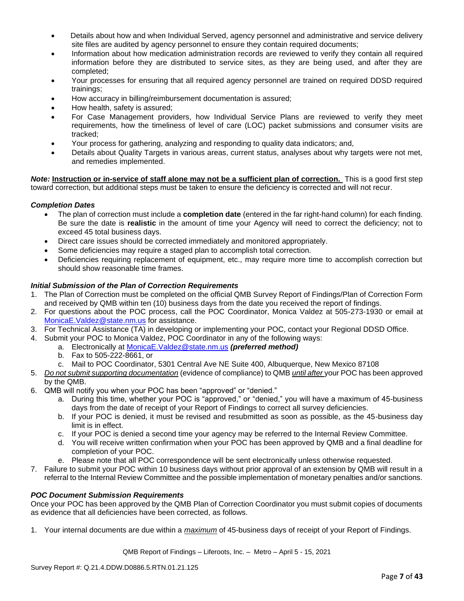- Details about how and when Individual Served, agency personnel and administrative and service delivery site files are audited by agency personnel to ensure they contain required documents;
- Information about how medication administration records are reviewed to verify they contain all required information before they are distributed to service sites, as they are being used, and after they are completed;
- Your processes for ensuring that all required agency personnel are trained on required DDSD required trainings;
- How accuracy in billing/reimbursement documentation is assured;
- How health, safety is assured;
- For Case Management providers, how Individual Service Plans are reviewed to verify they meet requirements, how the timeliness of level of care (LOC) packet submissions and consumer visits are tracked;
- Your process for gathering, analyzing and responding to quality data indicators; and,
- Details about Quality Targets in various areas, current status, analyses about why targets were not met, and remedies implemented.

*Note:* **Instruction or in-service of staff alone may not be a sufficient plan of correction.** This is a good first step toward correction, but additional steps must be taken to ensure the deficiency is corrected and will not recur.

### *Completion Dates*

- The plan of correction must include a **completion date** (entered in the far right-hand column) for each finding. Be sure the date is **realistic** in the amount of time your Agency will need to correct the deficiency; not to exceed 45 total business days.
- Direct care issues should be corrected immediately and monitored appropriately.
- Some deficiencies may require a staged plan to accomplish total correction.
- Deficiencies requiring replacement of equipment, etc., may require more time to accomplish correction but should show reasonable time frames.

### *Initial Submission of the Plan of Correction Requirements*

- 1. The Plan of Correction must be completed on the official QMB Survey Report of Findings/Plan of Correction Form and received by QMB within ten (10) business days from the date you received the report of findings.
- 2. For questions about the POC process, call the POC Coordinator, Monica Valdez at 505-273-1930 or email at [MonicaE.Valdez@state.nm.us](mailto:MonicaE.Valdez@state.nm.us) for assistance.
- 3. For Technical Assistance (TA) in developing or implementing your POC, contact your Regional DDSD Office.
- 4. Submit your POC to Monica Valdez, POC Coordinator in any of the following ways:
	- a. Electronically at [MonicaE.Valdez@state.nm.us](mailto:MonicaE.Valdez@state.nm.us) *(preferred method)*
		- b. Fax to 505-222-8661, or
		- c. Mail to POC Coordinator, 5301 Central Ave NE Suite 400, Albuquerque, New Mexico 87108
- 5. *Do not submit supporting documentation* (evidence of compliance) to QMB *until after* your POC has been approved by the QMB.
- 6. QMB will notify you when your POC has been "approved" or "denied."
	- a. During this time, whether your POC is "approved," or "denied," you will have a maximum of 45-business days from the date of receipt of your Report of Findings to correct all survey deficiencies.
	- b. If your POC is denied, it must be revised and resubmitted as soon as possible, as the 45-business day limit is in effect.
	- c. If your POC is denied a second time your agency may be referred to the Internal Review Committee.
	- d. You will receive written confirmation when your POC has been approved by QMB and a final deadline for completion of your POC.
	- e. Please note that all POC correspondence will be sent electronically unless otherwise requested.
- 7. Failure to submit your POC within 10 business days without prior approval of an extension by QMB will result in a referral to the Internal Review Committee and the possible implementation of monetary penalties and/or sanctions.

### *POC Document Submission Requirements*

Once your POC has been approved by the QMB Plan of Correction Coordinator you must submit copies of documents as evidence that all deficiencies have been corrected, as follows.

1. Your internal documents are due within a *maximum* of 45-business days of receipt of your Report of Findings.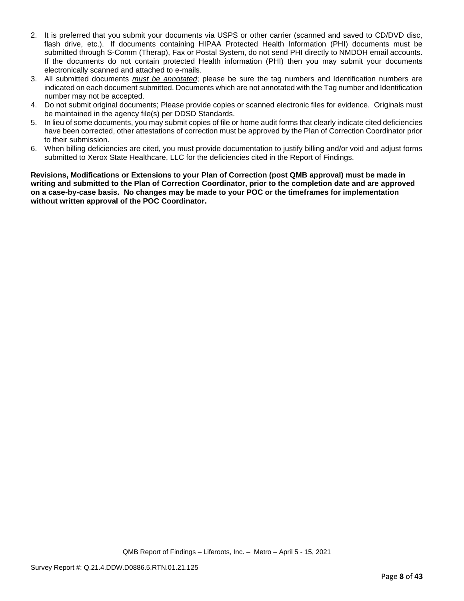- 2. It is preferred that you submit your documents via USPS or other carrier (scanned and saved to CD/DVD disc, flash drive, etc.). If documents containing HIPAA Protected Health Information (PHI) documents must be submitted through S-Comm (Therap), Fax or Postal System, do not send PHI directly to NMDOH email accounts. If the documents do not contain protected Health information (PHI) then you may submit your documents electronically scanned and attached to e-mails.
- 3. All submitted documents *must be annotated*; please be sure the tag numbers and Identification numbers are indicated on each document submitted. Documents which are not annotated with the Tag number and Identification number may not be accepted.
- 4. Do not submit original documents; Please provide copies or scanned electronic files for evidence. Originals must be maintained in the agency file(s) per DDSD Standards.
- 5. In lieu of some documents, you may submit copies of file or home audit forms that clearly indicate cited deficiencies have been corrected, other attestations of correction must be approved by the Plan of Correction Coordinator prior to their submission.
- 6. When billing deficiencies are cited, you must provide documentation to justify billing and/or void and adjust forms submitted to Xerox State Healthcare, LLC for the deficiencies cited in the Report of Findings.

**Revisions, Modifications or Extensions to your Plan of Correction (post QMB approval) must be made in writing and submitted to the Plan of Correction Coordinator, prior to the completion date and are approved on a case-by-case basis. No changes may be made to your POC or the timeframes for implementation without written approval of the POC Coordinator.**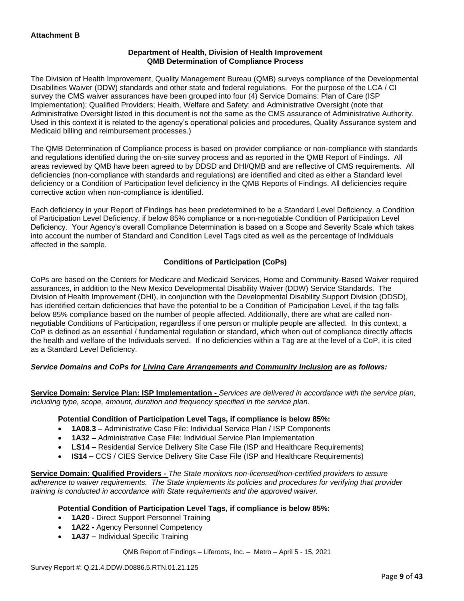### **Department of Health, Division of Health Improvement QMB Determination of Compliance Process**

The Division of Health Improvement, Quality Management Bureau (QMB) surveys compliance of the Developmental Disabilities Waiver (DDW) standards and other state and federal regulations. For the purpose of the LCA / CI survey the CMS waiver assurances have been grouped into four (4) Service Domains: Plan of Care (ISP Implementation); Qualified Providers; Health, Welfare and Safety; and Administrative Oversight (note that Administrative Oversight listed in this document is not the same as the CMS assurance of Administrative Authority. Used in this context it is related to the agency's operational policies and procedures, Quality Assurance system and Medicaid billing and reimbursement processes.)

The QMB Determination of Compliance process is based on provider compliance or non-compliance with standards and regulations identified during the on-site survey process and as reported in the QMB Report of Findings. All areas reviewed by QMB have been agreed to by DDSD and DHI/QMB and are reflective of CMS requirements. All deficiencies (non-compliance with standards and regulations) are identified and cited as either a Standard level deficiency or a Condition of Participation level deficiency in the QMB Reports of Findings. All deficiencies require corrective action when non-compliance is identified.

Each deficiency in your Report of Findings has been predetermined to be a Standard Level Deficiency, a Condition of Participation Level Deficiency, if below 85% compliance or a non-negotiable Condition of Participation Level Deficiency. Your Agency's overall Compliance Determination is based on a Scope and Severity Scale which takes into account the number of Standard and Condition Level Tags cited as well as the percentage of Individuals affected in the sample.

# **Conditions of Participation (CoPs)**

CoPs are based on the Centers for Medicare and Medicaid Services, Home and Community-Based Waiver required assurances, in addition to the New Mexico Developmental Disability Waiver (DDW) Service Standards. The Division of Health Improvement (DHI), in conjunction with the Developmental Disability Support Division (DDSD), has identified certain deficiencies that have the potential to be a Condition of Participation Level, if the tag falls below 85% compliance based on the number of people affected. Additionally, there are what are called nonnegotiable Conditions of Participation, regardless if one person or multiple people are affected. In this context, a CoP is defined as an essential / fundamental regulation or standard, which when out of compliance directly affects the health and welfare of the Individuals served. If no deficiencies within a Tag are at the level of a CoP, it is cited as a Standard Level Deficiency.

# *Service Domains and CoPs for Living Care Arrangements and Community Inclusion are as follows:*

**Service Domain: Service Plan: ISP Implementation -** *Services are delivered in accordance with the service plan, including type, scope, amount, duration and frequency specified in the service plan.*

### **Potential Condition of Participation Level Tags, if compliance is below 85%:**

- **1A08.3 –** Administrative Case File: Individual Service Plan / ISP Components
- **1A32 –** Administrative Case File: Individual Service Plan Implementation
- **LS14 –** Residential Service Delivery Site Case File (ISP and Healthcare Requirements)
- **IS14 –** CCS / CIES Service Delivery Site Case File (ISP and Healthcare Requirements)

**Service Domain: Qualified Providers -** *The State monitors non-licensed/non-certified providers to assure adherence to waiver requirements. The State implements its policies and procedures for verifying that provider training is conducted in accordance with State requirements and the approved waiver.*

### **Potential Condition of Participation Level Tags, if compliance is below 85%:**

- **1A20 -** Direct Support Personnel Training
- **1A22 -** Agency Personnel Competency
- **1A37 –** Individual Specific Training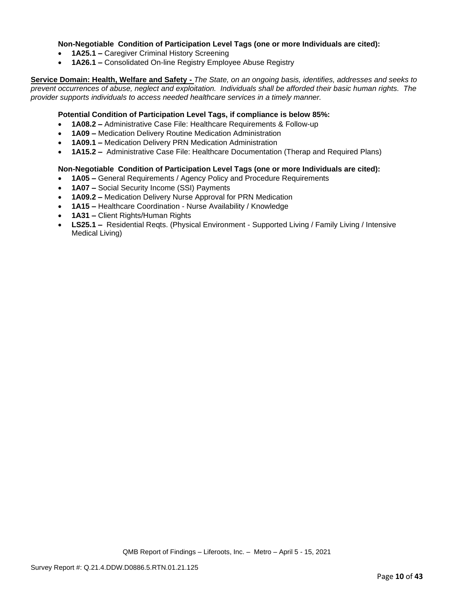### **Non-Negotiable Condition of Participation Level Tags (one or more Individuals are cited):**

- **1A25.1 –** Caregiver Criminal History Screening
- **1A26.1 –** Consolidated On-line Registry Employee Abuse Registry

**Service Domain: Health, Welfare and Safety -** *The State, on an ongoing basis, identifies, addresses and seeks to prevent occurrences of abuse, neglect and exploitation. Individuals shall be afforded their basic human rights. The provider supports individuals to access needed healthcare services in a timely manner.*

### **Potential Condition of Participation Level Tags, if compliance is below 85%:**

- **1A08.2 –** Administrative Case File: Healthcare Requirements & Follow-up
- **1A09 –** Medication Delivery Routine Medication Administration
- **1A09.1 –** Medication Delivery PRN Medication Administration
- **1A15.2 –** Administrative Case File: Healthcare Documentation (Therap and Required Plans)

### **Non-Negotiable Condition of Participation Level Tags (one or more Individuals are cited):**

- **1A05 –** General Requirements / Agency Policy and Procedure Requirements
- **1A07 –** Social Security Income (SSI) Payments
- **1A09.2 –** Medication Delivery Nurse Approval for PRN Medication
- **1A15 –** Healthcare Coordination Nurse Availability / Knowledge
- **1A31 –** Client Rights/Human Rights
- **LS25.1 –** Residential Reqts. (Physical Environment Supported Living / Family Living / Intensive Medical Living)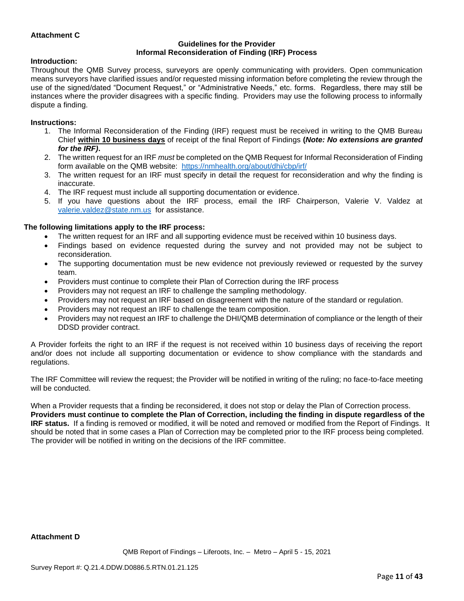### **Attachment C**

#### **Guidelines for the Provider Informal Reconsideration of Finding (IRF) Process**

#### **Introduction:**

Throughout the QMB Survey process, surveyors are openly communicating with providers. Open communication means surveyors have clarified issues and/or requested missing information before completing the review through the use of the signed/dated "Document Request," or "Administrative Needs," etc. forms. Regardless, there may still be instances where the provider disagrees with a specific finding. Providers may use the following process to informally dispute a finding.

#### **Instructions:**

- 1. The Informal Reconsideration of the Finding (IRF) request must be received in writing to the QMB Bureau Chief **within 10 business days** of receipt of the final Report of Findings **(***Note: No extensions are granted for the IRF)***.**
- 2. The written request for an IRF *must* be completed on the QMB Request for Informal Reconsideration of Finding form available on the QMB website: <https://nmhealth.org/about/dhi/cbp/irf/>
- 3. The written request for an IRF must specify in detail the request for reconsideration and why the finding is inaccurate.
- 4. The IRF request must include all supporting documentation or evidence.
- 5. If you have questions about the IRF process, email the IRF Chairperson, Valerie V. Valdez at [valerie.valdez@state.nm.us](mailto:valerie.valdez@state.nm.us) for assistance.

### **The following limitations apply to the IRF process:**

- The written request for an IRF and all supporting evidence must be received within 10 business days.
- Findings based on evidence requested during the survey and not provided may not be subject to reconsideration.
- The supporting documentation must be new evidence not previously reviewed or requested by the survey team.
- Providers must continue to complete their Plan of Correction during the IRF process
- Providers may not request an IRF to challenge the sampling methodology.
- Providers may not request an IRF based on disagreement with the nature of the standard or regulation.
- Providers may not request an IRF to challenge the team composition.
- Providers may not request an IRF to challenge the DHI/QMB determination of compliance or the length of their DDSD provider contract.

A Provider forfeits the right to an IRF if the request is not received within 10 business days of receiving the report and/or does not include all supporting documentation or evidence to show compliance with the standards and regulations.

The IRF Committee will review the request; the Provider will be notified in writing of the ruling; no face-to-face meeting will be conducted.

When a Provider requests that a finding be reconsidered, it does not stop or delay the Plan of Correction process. **Providers must continue to complete the Plan of Correction, including the finding in dispute regardless of the IRF status.** If a finding is removed or modified, it will be noted and removed or modified from the Report of Findings. It should be noted that in some cases a Plan of Correction may be completed prior to the IRF process being completed. The provider will be notified in writing on the decisions of the IRF committee.

#### **Attachment D**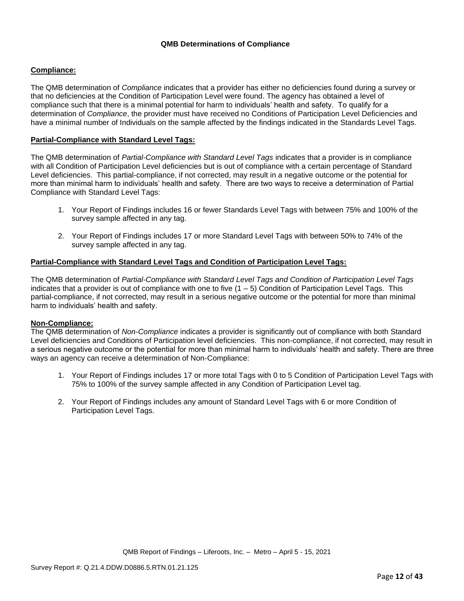### **Compliance:**

The QMB determination of *Compliance* indicates that a provider has either no deficiencies found during a survey or that no deficiencies at the Condition of Participation Level were found. The agency has obtained a level of compliance such that there is a minimal potential for harm to individuals' health and safety. To qualify for a determination of *Compliance*, the provider must have received no Conditions of Participation Level Deficiencies and have a minimal number of Individuals on the sample affected by the findings indicated in the Standards Level Tags.

### **Partial-Compliance with Standard Level Tags:**

The QMB determination of *Partial-Compliance with Standard Level Tags* indicates that a provider is in compliance with all Condition of Participation Level deficiencies but is out of compliance with a certain percentage of Standard Level deficiencies. This partial-compliance, if not corrected, may result in a negative outcome or the potential for more than minimal harm to individuals' health and safety. There are two ways to receive a determination of Partial Compliance with Standard Level Tags:

- 1. Your Report of Findings includes 16 or fewer Standards Level Tags with between 75% and 100% of the survey sample affected in any tag.
- 2. Your Report of Findings includes 17 or more Standard Level Tags with between 50% to 74% of the survey sample affected in any tag.

### **Partial-Compliance with Standard Level Tags and Condition of Participation Level Tags:**

The QMB determination of *Partial-Compliance with Standard Level Tags and Condition of Participation Level Tags*  indicates that a provider is out of compliance with one to five (1 – 5) Condition of Participation Level Tags. This partial-compliance, if not corrected, may result in a serious negative outcome or the potential for more than minimal harm to individuals' health and safety.

### **Non-Compliance:**

The QMB determination of *Non-Compliance* indicates a provider is significantly out of compliance with both Standard Level deficiencies and Conditions of Participation level deficiencies. This non-compliance, if not corrected, may result in a serious negative outcome or the potential for more than minimal harm to individuals' health and safety. There are three ways an agency can receive a determination of Non-Compliance:

- 1. Your Report of Findings includes 17 or more total Tags with 0 to 5 Condition of Participation Level Tags with 75% to 100% of the survey sample affected in any Condition of Participation Level tag.
- 2. Your Report of Findings includes any amount of Standard Level Tags with 6 or more Condition of Participation Level Tags.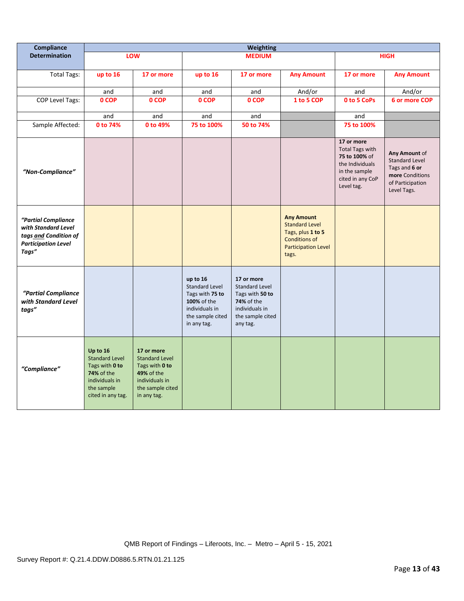| Compliance                                                                                                 |                                                                                                                        |                                                                                                                          |                                                                                                                          | <b>Weighting</b>                                                                                                       |                                                                                                                                |                                                                                                                             |                                                                                                               |
|------------------------------------------------------------------------------------------------------------|------------------------------------------------------------------------------------------------------------------------|--------------------------------------------------------------------------------------------------------------------------|--------------------------------------------------------------------------------------------------------------------------|------------------------------------------------------------------------------------------------------------------------|--------------------------------------------------------------------------------------------------------------------------------|-----------------------------------------------------------------------------------------------------------------------------|---------------------------------------------------------------------------------------------------------------|
| <b>Determination</b>                                                                                       |                                                                                                                        | LOW                                                                                                                      |                                                                                                                          | <b>MEDIUM</b>                                                                                                          |                                                                                                                                |                                                                                                                             | <b>HIGH</b>                                                                                                   |
| <b>Total Tags:</b>                                                                                         | up to 16                                                                                                               | 17 or more                                                                                                               | up to 16                                                                                                                 | 17 or more                                                                                                             | <b>Any Amount</b>                                                                                                              | 17 or more                                                                                                                  | <b>Any Amount</b>                                                                                             |
|                                                                                                            | and                                                                                                                    | and                                                                                                                      | and                                                                                                                      | and                                                                                                                    | And/or                                                                                                                         | and                                                                                                                         | And/or                                                                                                        |
| <b>COP Level Tags:</b>                                                                                     | 0 COP                                                                                                                  | 0 COP                                                                                                                    | 0 COP                                                                                                                    | 0 COP                                                                                                                  | 1 to 5 COP                                                                                                                     | 0 to 5 CoPs                                                                                                                 | 6 or more COP                                                                                                 |
|                                                                                                            | and                                                                                                                    | and                                                                                                                      | and                                                                                                                      | and                                                                                                                    |                                                                                                                                | and                                                                                                                         |                                                                                                               |
| Sample Affected:                                                                                           | 0 to 74%                                                                                                               | 0 to 49%                                                                                                                 | 75 to 100%                                                                                                               | 50 to 74%                                                                                                              |                                                                                                                                | 75 to 100%                                                                                                                  |                                                                                                               |
| "Non-Compliance"                                                                                           |                                                                                                                        |                                                                                                                          |                                                                                                                          |                                                                                                                        |                                                                                                                                | 17 or more<br><b>Total Tags with</b><br>75 to 100% of<br>the Individuals<br>in the sample<br>cited in any CoP<br>Level tag. | Any Amount of<br><b>Standard Level</b><br>Tags and 6 or<br>more Conditions<br>of Participation<br>Level Tags. |
| "Partial Compliance<br>with Standard Level<br>tags and Condition of<br><b>Participation Level</b><br>Tags" |                                                                                                                        |                                                                                                                          |                                                                                                                          |                                                                                                                        | <b>Any Amount</b><br><b>Standard Level</b><br>Tags, plus 1 to 5<br><b>Conditions of</b><br><b>Participation Level</b><br>tags. |                                                                                                                             |                                                                                                               |
| "Partial Compliance<br>with Standard Level<br>tags"                                                        |                                                                                                                        |                                                                                                                          | up to 16<br><b>Standard Level</b><br>Tags with 75 to<br>100% of the<br>individuals in<br>the sample cited<br>in any tag. | 17 or more<br>Standard Level<br>Tags with 50 to<br><b>74%</b> of the<br>individuals in<br>the sample cited<br>any tag. |                                                                                                                                |                                                                                                                             |                                                                                                               |
| "Compliance"                                                                                               | Up to 16<br><b>Standard Level</b><br>Tags with 0 to<br>74% of the<br>individuals in<br>the sample<br>cited in any tag. | 17 or more<br><b>Standard Level</b><br>Tags with 0 to<br>49% of the<br>individuals in<br>the sample cited<br>in any tag. |                                                                                                                          |                                                                                                                        |                                                                                                                                |                                                                                                                             |                                                                                                               |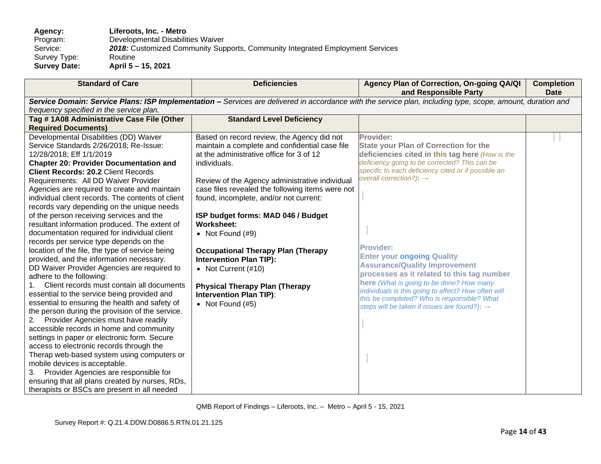**Agency: Liferoots, Inc. - Metro** Program: Developmental Disabilities Waiver<br>Service: 2018: Customized Community Sup 2018: Customized Community Supports, Community Integrated Employment Services Routine Survey Type:<br>Survey Date: **Survey Date: April 5 – 15, 2021**

| <b>Standard of Care</b>                                                                                                                                                                                                                                                                                                                                                                                                                                                                                                                                                                                                                                                                                                                                                                                                                                                                                                                                                                                                                                                                                                                                                                                                                                                                         | <b>Deficiencies</b>                                                                                                                                                                                                                                                                                                                                                                                                                                                                                                                                                                              | Agency Plan of Correction, On-going QA/QI<br>and Responsible Party                                                                                                                                                                                                                                                                                                                                                                                                                                                                                                                                                       | <b>Completion</b><br><b>Date</b> |  |
|-------------------------------------------------------------------------------------------------------------------------------------------------------------------------------------------------------------------------------------------------------------------------------------------------------------------------------------------------------------------------------------------------------------------------------------------------------------------------------------------------------------------------------------------------------------------------------------------------------------------------------------------------------------------------------------------------------------------------------------------------------------------------------------------------------------------------------------------------------------------------------------------------------------------------------------------------------------------------------------------------------------------------------------------------------------------------------------------------------------------------------------------------------------------------------------------------------------------------------------------------------------------------------------------------|--------------------------------------------------------------------------------------------------------------------------------------------------------------------------------------------------------------------------------------------------------------------------------------------------------------------------------------------------------------------------------------------------------------------------------------------------------------------------------------------------------------------------------------------------------------------------------------------------|--------------------------------------------------------------------------------------------------------------------------------------------------------------------------------------------------------------------------------------------------------------------------------------------------------------------------------------------------------------------------------------------------------------------------------------------------------------------------------------------------------------------------------------------------------------------------------------------------------------------------|----------------------------------|--|
| Service Domain: Service Plans: ISP Implementation - Services are delivered in accordance with the service plan, including type, scope, amount, duration and                                                                                                                                                                                                                                                                                                                                                                                                                                                                                                                                                                                                                                                                                                                                                                                                                                                                                                                                                                                                                                                                                                                                     |                                                                                                                                                                                                                                                                                                                                                                                                                                                                                                                                                                                                  |                                                                                                                                                                                                                                                                                                                                                                                                                                                                                                                                                                                                                          |                                  |  |
| frequency specified in the service plan.                                                                                                                                                                                                                                                                                                                                                                                                                                                                                                                                                                                                                                                                                                                                                                                                                                                                                                                                                                                                                                                                                                                                                                                                                                                        |                                                                                                                                                                                                                                                                                                                                                                                                                                                                                                                                                                                                  |                                                                                                                                                                                                                                                                                                                                                                                                                                                                                                                                                                                                                          |                                  |  |
| Tag # 1A08 Administrative Case File (Other                                                                                                                                                                                                                                                                                                                                                                                                                                                                                                                                                                                                                                                                                                                                                                                                                                                                                                                                                                                                                                                                                                                                                                                                                                                      | <b>Standard Level Deficiency</b>                                                                                                                                                                                                                                                                                                                                                                                                                                                                                                                                                                 |                                                                                                                                                                                                                                                                                                                                                                                                                                                                                                                                                                                                                          |                                  |  |
| <b>Required Documents)</b>                                                                                                                                                                                                                                                                                                                                                                                                                                                                                                                                                                                                                                                                                                                                                                                                                                                                                                                                                                                                                                                                                                                                                                                                                                                                      |                                                                                                                                                                                                                                                                                                                                                                                                                                                                                                                                                                                                  |                                                                                                                                                                                                                                                                                                                                                                                                                                                                                                                                                                                                                          |                                  |  |
| Developmental Disabilities (DD) Waiver<br>Service Standards 2/26/2018; Re-Issue:<br>12/28/2018; Eff 1/1/2019<br><b>Chapter 20: Provider Documentation and</b><br><b>Client Records: 20.2 Client Records</b><br>Requirements: All DD Waiver Provider<br>Agencies are required to create and maintain<br>individual client records. The contents of client<br>records vary depending on the unique needs<br>of the person receiving services and the<br>resultant information produced. The extent of<br>documentation required for individual client<br>records per service type depends on the<br>location of the file, the type of service being<br>provided, and the information necessary.<br>DD Waiver Provider Agencies are required to<br>adhere to the following:<br>1. Client records must contain all documents<br>essential to the service being provided and<br>essential to ensuring the health and safety of<br>the person during the provision of the service.<br>Provider Agencies must have readily<br>2.<br>accessible records in home and community<br>settings in paper or electronic form. Secure<br>access to electronic records through the<br>Therap web-based system using computers or<br>mobile devices is acceptable.<br>Provider Agencies are responsible for<br>3. | Based on record review, the Agency did not<br>maintain a complete and confidential case file<br>at the administrative office for 3 of 12<br>individuals.<br>Review of the Agency administrative individual<br>case files revealed the following items were not<br>found, incomplete, and/or not current:<br>ISP budget forms: MAD 046 / Budget<br><b>Worksheet:</b><br>• Not Found $(H9)$<br><b>Occupational Therapy Plan (Therapy</b><br><b>Intervention Plan TIP):</b><br>• Not Current (#10)<br><b>Physical Therapy Plan (Therapy</b><br><b>Intervention Plan TIP):</b><br>• Not Found $(#5)$ | Provider:<br><b>State your Plan of Correction for the</b><br>deficiencies cited in this tag here (How is the<br>deficiency going to be corrected? This can be<br>specific to each deficiency cited or if possible an<br>overall correction?): $\rightarrow$<br><b>Provider:</b><br><b>Enter your ongoing Quality</b><br><b>Assurance/Quality Improvement</b><br>processes as it related to this tag number<br>here (What is going to be done? How many<br>individuals is this going to affect? How often will<br>this be completed? Who is responsible? What<br>steps will be taken if issues are found?): $\rightarrow$ |                                  |  |
| ensuring that all plans created by nurses, RDs,                                                                                                                                                                                                                                                                                                                                                                                                                                                                                                                                                                                                                                                                                                                                                                                                                                                                                                                                                                                                                                                                                                                                                                                                                                                 |                                                                                                                                                                                                                                                                                                                                                                                                                                                                                                                                                                                                  |                                                                                                                                                                                                                                                                                                                                                                                                                                                                                                                                                                                                                          |                                  |  |
| therapists or BSCs are present in all needed                                                                                                                                                                                                                                                                                                                                                                                                                                                                                                                                                                                                                                                                                                                                                                                                                                                                                                                                                                                                                                                                                                                                                                                                                                                    |                                                                                                                                                                                                                                                                                                                                                                                                                                                                                                                                                                                                  |                                                                                                                                                                                                                                                                                                                                                                                                                                                                                                                                                                                                                          |                                  |  |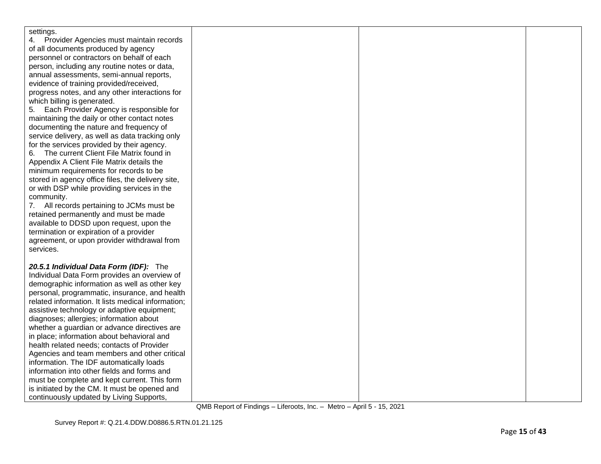| settings.<br>Provider Agencies must maintain records<br>of all documents produced by agency<br>personnel or contractors on behalf of each<br>person, including any routine notes or data,<br>annual assessments, semi-annual reports, |                                         |  |  |
|---------------------------------------------------------------------------------------------------------------------------------------------------------------------------------------------------------------------------------------|-----------------------------------------|--|--|
|                                                                                                                                                                                                                                       |                                         |  |  |
|                                                                                                                                                                                                                                       |                                         |  |  |
|                                                                                                                                                                                                                                       |                                         |  |  |
|                                                                                                                                                                                                                                       |                                         |  |  |
|                                                                                                                                                                                                                                       |                                         |  |  |
|                                                                                                                                                                                                                                       | evidence of training provided/received, |  |  |
| progress notes, and any other interactions for                                                                                                                                                                                        |                                         |  |  |
| which billing is generated.                                                                                                                                                                                                           |                                         |  |  |
| Each Provider Agency is responsible for<br>5.                                                                                                                                                                                         |                                         |  |  |
| maintaining the daily or other contact notes                                                                                                                                                                                          |                                         |  |  |
| documenting the nature and frequency of                                                                                                                                                                                               |                                         |  |  |
| service delivery, as well as data tracking only                                                                                                                                                                                       |                                         |  |  |
| for the services provided by their agency.                                                                                                                                                                                            |                                         |  |  |
| The current Client File Matrix found in<br>6.                                                                                                                                                                                         |                                         |  |  |
| Appendix A Client File Matrix details the                                                                                                                                                                                             |                                         |  |  |
| minimum requirements for records to be                                                                                                                                                                                                |                                         |  |  |
| stored in agency office files, the delivery site,                                                                                                                                                                                     |                                         |  |  |
| or with DSP while providing services in the                                                                                                                                                                                           |                                         |  |  |
| community.                                                                                                                                                                                                                            |                                         |  |  |
| 7. All records pertaining to JCMs must be                                                                                                                                                                                             |                                         |  |  |
| retained permanently and must be made                                                                                                                                                                                                 |                                         |  |  |
| available to DDSD upon request, upon the                                                                                                                                                                                              |                                         |  |  |
| termination or expiration of a provider                                                                                                                                                                                               |                                         |  |  |
| agreement, or upon provider withdrawal from                                                                                                                                                                                           |                                         |  |  |
| services.                                                                                                                                                                                                                             |                                         |  |  |
|                                                                                                                                                                                                                                       |                                         |  |  |
| 20.5.1 Individual Data Form (IDF): The                                                                                                                                                                                                |                                         |  |  |
| Individual Data Form provides an overview of                                                                                                                                                                                          |                                         |  |  |
| demographic information as well as other key                                                                                                                                                                                          |                                         |  |  |
| personal, programmatic, insurance, and health                                                                                                                                                                                         |                                         |  |  |
| related information. It lists medical information;                                                                                                                                                                                    |                                         |  |  |
| assistive technology or adaptive equipment;                                                                                                                                                                                           |                                         |  |  |
| diagnoses; allergies; information about                                                                                                                                                                                               |                                         |  |  |
| whether a guardian or advance directives are                                                                                                                                                                                          |                                         |  |  |
| in place; information about behavioral and                                                                                                                                                                                            |                                         |  |  |
| health related needs; contacts of Provider                                                                                                                                                                                            |                                         |  |  |
| Agencies and team members and other critical                                                                                                                                                                                          |                                         |  |  |
| information. The IDF automatically loads<br>information into other fields and forms and                                                                                                                                               |                                         |  |  |
| must be complete and kept current. This form                                                                                                                                                                                          |                                         |  |  |
| is initiated by the CM. It must be opened and                                                                                                                                                                                         |                                         |  |  |
| continuously updated by Living Supports,                                                                                                                                                                                              |                                         |  |  |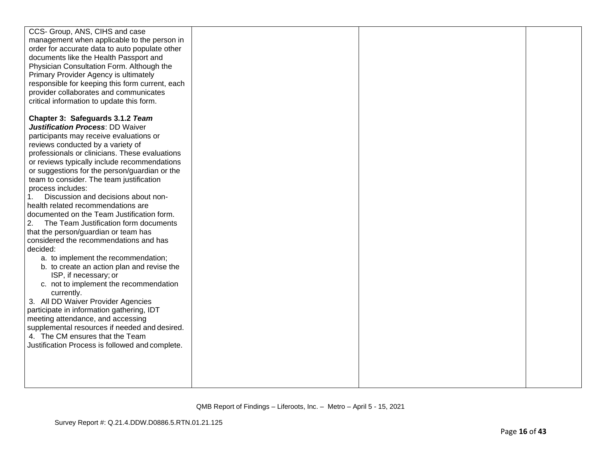| CCS- Group, ANS, CIHS and case                  |  |  |
|-------------------------------------------------|--|--|
| management when applicable to the person in     |  |  |
| order for accurate data to auto populate other  |  |  |
| documents like the Health Passport and          |  |  |
| Physician Consultation Form. Although the       |  |  |
| Primary Provider Agency is ultimately           |  |  |
| responsible for keeping this form current, each |  |  |
| provider collaborates and communicates          |  |  |
| critical information to update this form.       |  |  |
|                                                 |  |  |
| Chapter 3: Safeguards 3.1.2 Team                |  |  |
| <b>Justification Process: DD Waiver</b>         |  |  |
| participants may receive evaluations or         |  |  |
| reviews conducted by a variety of               |  |  |
| professionals or clinicians. These evaluations  |  |  |
| or reviews typically include recommendations    |  |  |
| or suggestions for the person/guardian or the   |  |  |
| team to consider. The team justification        |  |  |
| process includes:                               |  |  |
| Discussion and decisions about non-<br>1.       |  |  |
| health related recommendations are              |  |  |
| documented on the Team Justification form.      |  |  |
| 2.<br>The Team Justification form documents     |  |  |
| that the person/guardian or team has            |  |  |
| considered the recommendations and has          |  |  |
| decided:                                        |  |  |
| a. to implement the recommendation;             |  |  |
| b. to create an action plan and revise the      |  |  |
| ISP, if necessary; or                           |  |  |
| c. not to implement the recommendation          |  |  |
| currently.                                      |  |  |
| 3. All DD Waiver Provider Agencies              |  |  |
| participate in information gathering, IDT       |  |  |
| meeting attendance, and accessing               |  |  |
| supplemental resources if needed and desired.   |  |  |
| 4. The CM ensures that the Team                 |  |  |
| Justification Process is followed and complete. |  |  |
|                                                 |  |  |
|                                                 |  |  |
|                                                 |  |  |
|                                                 |  |  |
|                                                 |  |  |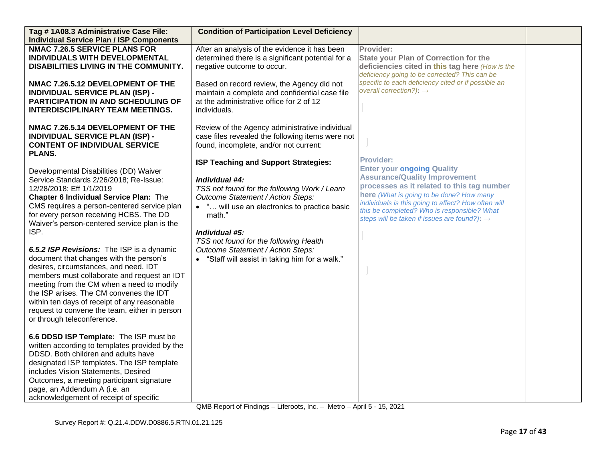| Tag #1A08.3 Administrative Case File:                                     | <b>Condition of Participation Level Deficiency</b> |                                                          |  |
|---------------------------------------------------------------------------|----------------------------------------------------|----------------------------------------------------------|--|
| <b>Individual Service Plan / ISP Components</b>                           |                                                    |                                                          |  |
| <b>NMAC 7.26.5 SERVICE PLANS FOR</b>                                      | After an analysis of the evidence it has been      | Provider:                                                |  |
| INDIVIDUALS WITH DEVELOPMENTAL                                            | determined there is a significant potential for a  | <b>State your Plan of Correction for the</b>             |  |
| DISABILITIES LIVING IN THE COMMUNITY.                                     | negative outcome to occur.                         | deficiencies cited in this tag here (How is the          |  |
|                                                                           |                                                    | deficiency going to be corrected? This can be            |  |
| NMAC 7.26.5.12 DEVELOPMENT OF THE                                         | Based on record review, the Agency did not         | specific to each deficiency cited or if possible an      |  |
| <b>INDIVIDUAL SERVICE PLAN (ISP) -</b>                                    | maintain a complete and confidential case file     | overall correction?): $\rightarrow$                      |  |
| PARTICIPATION IN AND SCHEDULING OF                                        | at the administrative office for 2 of 12           |                                                          |  |
| <b>INTERDISCIPLINARY TEAM MEETINGS.</b>                                   | individuals.                                       |                                                          |  |
|                                                                           |                                                    |                                                          |  |
| NMAC 7.26.5.14 DEVELOPMENT OF THE                                         | Review of the Agency administrative individual     |                                                          |  |
| <b>INDIVIDUAL SERVICE PLAN (ISP) -</b>                                    | case files revealed the following items were not   |                                                          |  |
| <b>CONTENT OF INDIVIDUAL SERVICE</b>                                      | found, incomplete, and/or not current:             |                                                          |  |
| <b>PLANS.</b>                                                             |                                                    | <b>Provider:</b>                                         |  |
| Developmental Disabilities (DD) Waiver                                    | ISP Teaching and Support Strategies:               | <b>Enter your ongoing Quality</b>                        |  |
| Service Standards 2/26/2018; Re-Issue:                                    | Individual #4:                                     | <b>Assurance/Quality Improvement</b>                     |  |
| 12/28/2018; Eff 1/1/2019                                                  | TSS not found for the following Work / Learn       | processes as it related to this tag number               |  |
| <b>Chapter 6 Individual Service Plan: The</b>                             | Outcome Statement / Action Steps:                  | here (What is going to be done? How many                 |  |
| CMS requires a person-centered service plan                               | • " will use an electronics to practice basic      | individuals is this going to affect? How often will      |  |
| for every person receiving HCBS. The DD                                   | math."                                             | this be completed? Who is responsible? What              |  |
| Waiver's person-centered service plan is the                              |                                                    | steps will be taken if issues are found?): $\rightarrow$ |  |
| ISP.                                                                      | Individual #5:                                     |                                                          |  |
|                                                                           | TSS not found for the following Health             |                                                          |  |
| 6.5.2 ISP Revisions: The ISP is a dynamic                                 | Outcome Statement / Action Steps:                  |                                                          |  |
| document that changes with the person's                                   | • "Staff will assist in taking him for a walk."    |                                                          |  |
| desires, circumstances, and need. IDT                                     |                                                    |                                                          |  |
| members must collaborate and request an IDT                               |                                                    |                                                          |  |
| meeting from the CM when a need to modify                                 |                                                    |                                                          |  |
| the ISP arises. The CM convenes the IDT                                   |                                                    |                                                          |  |
| within ten days of receipt of any reasonable                              |                                                    |                                                          |  |
| request to convene the team, either in person                             |                                                    |                                                          |  |
| or through teleconference.                                                |                                                    |                                                          |  |
|                                                                           |                                                    |                                                          |  |
| 6.6 DDSD ISP Template: The ISP must be                                    |                                                    |                                                          |  |
| written according to templates provided by the                            |                                                    |                                                          |  |
| DDSD. Both children and adults have                                       |                                                    |                                                          |  |
| designated ISP templates. The ISP template                                |                                                    |                                                          |  |
| includes Vision Statements, Desired                                       |                                                    |                                                          |  |
| Outcomes, a meeting participant signature<br>page, an Addendum A (i.e. an |                                                    |                                                          |  |
|                                                                           |                                                    |                                                          |  |
| acknowledgement of receipt of specific                                    |                                                    |                                                          |  |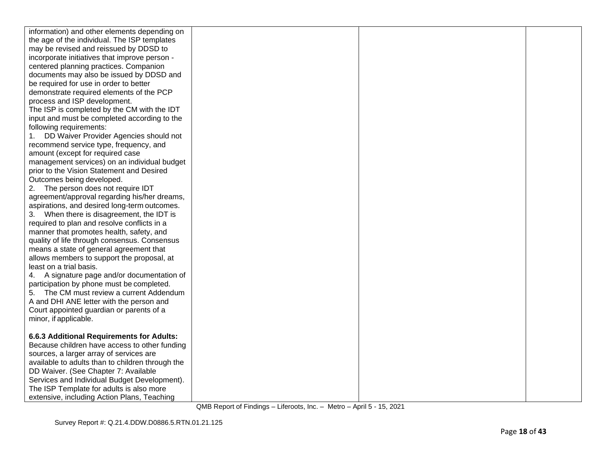| information) and other elements depending on     |  |  |
|--------------------------------------------------|--|--|
| the age of the individual. The ISP templates     |  |  |
| may be revised and reissued by DDSD to           |  |  |
| incorporate initiatives that improve person -    |  |  |
| centered planning practices. Companion           |  |  |
| documents may also be issued by DDSD and         |  |  |
| be required for use in order to better           |  |  |
| demonstrate required elements of the PCP         |  |  |
| process and ISP development.                     |  |  |
| The ISP is completed by the CM with the IDT      |  |  |
| input and must be completed according to the     |  |  |
| following requirements:                          |  |  |
| DD Waiver Provider Agencies should not<br>1.     |  |  |
| recommend service type, frequency, and           |  |  |
| amount (except for required case                 |  |  |
| management services) on an individual budget     |  |  |
| prior to the Vision Statement and Desired        |  |  |
| Outcomes being developed.                        |  |  |
| 2. The person does not require IDT               |  |  |
| agreement/approval regarding his/her dreams,     |  |  |
| aspirations, and desired long-term outcomes.     |  |  |
| 3. When there is disagreement, the IDT is        |  |  |
| required to plan and resolve conflicts in a      |  |  |
| manner that promotes health, safety, and         |  |  |
| quality of life through consensus. Consensus     |  |  |
| means a state of general agreement that          |  |  |
| allows members to support the proposal, at       |  |  |
| least on a trial basis.                          |  |  |
| 4. A signature page and/or documentation of      |  |  |
| participation by phone must be completed.        |  |  |
| 5. The CM must review a current Addendum         |  |  |
| A and DHI ANE letter with the person and         |  |  |
| Court appointed guardian or parents of a         |  |  |
| minor, if applicable.                            |  |  |
|                                                  |  |  |
| 6.6.3 Additional Requirements for Adults:        |  |  |
| Because children have access to other funding    |  |  |
| sources, a larger array of services are          |  |  |
| available to adults than to children through the |  |  |
| DD Waiver. (See Chapter 7: Available             |  |  |
| Services and Individual Budget Development).     |  |  |
| The ISP Template for adults is also more         |  |  |
| extensive, including Action Plans, Teaching      |  |  |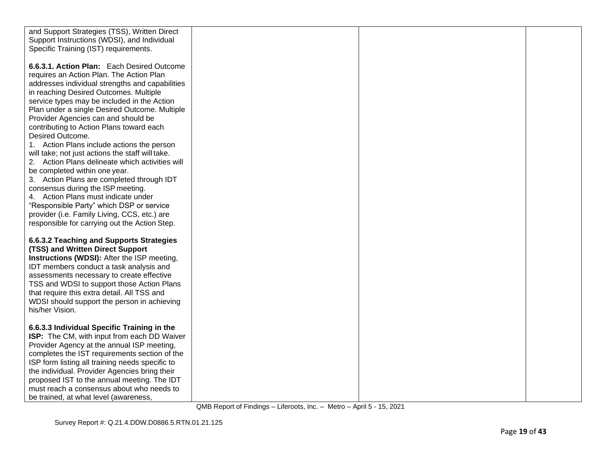| and Support Strategies (TSS), Written Direct     |  |  |
|--------------------------------------------------|--|--|
| Support Instructions (WDSI), and Individual      |  |  |
| Specific Training (IST) requirements.            |  |  |
|                                                  |  |  |
| 6.6.3.1. Action Plan: Each Desired Outcome       |  |  |
| requires an Action Plan. The Action Plan         |  |  |
| addresses individual strengths and capabilities  |  |  |
|                                                  |  |  |
| in reaching Desired Outcomes. Multiple           |  |  |
| service types may be included in the Action      |  |  |
| Plan under a single Desired Outcome. Multiple    |  |  |
| Provider Agencies can and should be              |  |  |
| contributing to Action Plans toward each         |  |  |
| Desired Outcome.                                 |  |  |
| 1. Action Plans include actions the person       |  |  |
| will take; not just actions the staff will take. |  |  |
| 2. Action Plans delineate which activities will  |  |  |
| be completed within one year.                    |  |  |
| 3. Action Plans are completed through IDT        |  |  |
| consensus during the ISP meeting.                |  |  |
| 4. Action Plans must indicate under              |  |  |
| "Responsible Party" which DSP or service         |  |  |
| provider (i.e. Family Living, CCS, etc.) are     |  |  |
| responsible for carrying out the Action Step.    |  |  |
|                                                  |  |  |
| 6.6.3.2 Teaching and Supports Strategies         |  |  |
| (TSS) and Written Direct Support                 |  |  |
| Instructions (WDSI): After the ISP meeting,      |  |  |
| IDT members conduct a task analysis and          |  |  |
| assessments necessary to create effective        |  |  |
| TSS and WDSI to support those Action Plans       |  |  |
| that require this extra detail. All TSS and      |  |  |
| WDSI should support the person in achieving      |  |  |
| his/her Vision.                                  |  |  |
|                                                  |  |  |
| 6.6.3.3 Individual Specific Training in the      |  |  |
| ISP: The CM, with input from each DD Waiver      |  |  |
| Provider Agency at the annual ISP meeting,       |  |  |
| completes the IST requirements section of the    |  |  |
| ISP form listing all training needs specific to  |  |  |
| the individual. Provider Agencies bring their    |  |  |
| proposed IST to the annual meeting. The IDT      |  |  |
| must reach a consensus about who needs to        |  |  |
| be trained, at what level (awareness,            |  |  |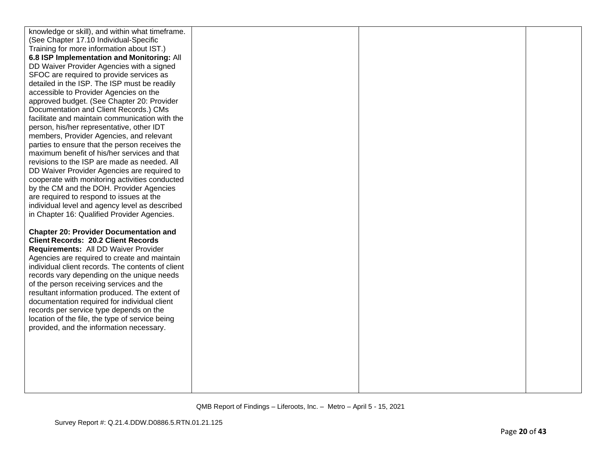| knowledge or skill), and within what timeframe.   |  |  |
|---------------------------------------------------|--|--|
| (See Chapter 17.10 Individual-Specific            |  |  |
| Training for more information about IST.)         |  |  |
| 6.8 ISP Implementation and Monitoring: All        |  |  |
| DD Waiver Provider Agencies with a signed         |  |  |
| SFOC are required to provide services as          |  |  |
| detailed in the ISP. The ISP must be readily      |  |  |
| accessible to Provider Agencies on the            |  |  |
| approved budget. (See Chapter 20: Provider        |  |  |
| Documentation and Client Records.) CMs            |  |  |
| facilitate and maintain communication with the    |  |  |
| person, his/her representative, other IDT         |  |  |
| members, Provider Agencies, and relevant          |  |  |
| parties to ensure that the person receives the    |  |  |
| maximum benefit of his/her services and that      |  |  |
| revisions to the ISP are made as needed. All      |  |  |
| DD Waiver Provider Agencies are required to       |  |  |
| cooperate with monitoring activities conducted    |  |  |
| by the CM and the DOH. Provider Agencies          |  |  |
| are required to respond to issues at the          |  |  |
| individual level and agency level as described    |  |  |
| in Chapter 16: Qualified Provider Agencies.       |  |  |
|                                                   |  |  |
| <b>Chapter 20: Provider Documentation and</b>     |  |  |
| <b>Client Records: 20.2 Client Records</b>        |  |  |
| Requirements: All DD Waiver Provider              |  |  |
| Agencies are required to create and maintain      |  |  |
| individual client records. The contents of client |  |  |
|                                                   |  |  |
| records vary depending on the unique needs        |  |  |
| of the person receiving services and the          |  |  |
| resultant information produced. The extent of     |  |  |
| documentation required for individual client      |  |  |
| records per service type depends on the           |  |  |
| location of the file, the type of service being   |  |  |
| provided, and the information necessary.          |  |  |
|                                                   |  |  |
|                                                   |  |  |
|                                                   |  |  |
|                                                   |  |  |
|                                                   |  |  |
|                                                   |  |  |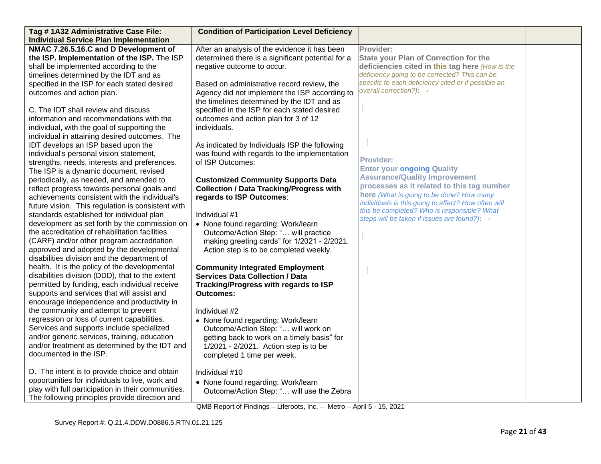| Tag # 1A32 Administrative Case File:               | <b>Condition of Participation Level Deficiency</b> |                                                          |  |
|----------------------------------------------------|----------------------------------------------------|----------------------------------------------------------|--|
| <b>Individual Service Plan Implementation</b>      |                                                    |                                                          |  |
| NMAC 7.26.5.16.C and D Development of              | After an analysis of the evidence it has been      | Provider:                                                |  |
| the ISP. Implementation of the ISP. The ISP        | determined there is a significant potential for a  | <b>State your Plan of Correction for the</b>             |  |
| shall be implemented according to the              | negative outcome to occur.                         | deficiencies cited in this tag here (How is the          |  |
| timelines determined by the IDT and as             |                                                    | deficiency going to be corrected? This can be            |  |
| specified in the ISP for each stated desired       | Based on administrative record review, the         | specific to each deficiency cited or if possible an      |  |
| outcomes and action plan.                          | Agency did not implement the ISP according to      | overall correction?): $\rightarrow$                      |  |
|                                                    | the timelines determined by the IDT and as         |                                                          |  |
| C. The IDT shall review and discuss                | specified in the ISP for each stated desired       |                                                          |  |
| information and recommendations with the           | outcomes and action plan for 3 of 12               |                                                          |  |
| individual, with the goal of supporting the        | individuals.                                       |                                                          |  |
| individual in attaining desired outcomes. The      |                                                    |                                                          |  |
| IDT develops an ISP based upon the                 | As indicated by Individuals ISP the following      |                                                          |  |
| individual's personal vision statement,            | was found with regards to the implementation       |                                                          |  |
| strengths, needs, interests and preferences.       | of ISP Outcomes:                                   | <b>Provider:</b>                                         |  |
| The ISP is a dynamic document, revised             |                                                    | <b>Enter your ongoing Quality</b>                        |  |
| periodically, as needed, and amended to            | <b>Customized Community Supports Data</b>          | <b>Assurance/Quality Improvement</b>                     |  |
| reflect progress towards personal goals and        | <b>Collection / Data Tracking/Progress with</b>    | processes as it related to this tag number               |  |
| achievements consistent with the individual's      | regards to ISP Outcomes:                           | here (What is going to be done? How many                 |  |
| future vision. This regulation is consistent with  |                                                    | individuals is this going to affect? How often will      |  |
| standards established for individual plan          | Individual #1                                      | this be completed? Who is responsible? What              |  |
| development as set forth by the commission on      | • None found regarding: Work/learn                 | steps will be taken if issues are found?): $\rightarrow$ |  |
| the accreditation of rehabilitation facilities     | Outcome/Action Step: " will practice               |                                                          |  |
| (CARF) and/or other program accreditation          | making greeting cards" for 1/2021 - 2/2021.        |                                                          |  |
| approved and adopted by the developmental          | Action step is to be completed weekly.             |                                                          |  |
| disabilities division and the department of        |                                                    |                                                          |  |
| health. It is the policy of the developmental      | <b>Community Integrated Employment</b>             |                                                          |  |
| disabilities division (DDD), that to the extent    | <b>Services Data Collection / Data</b>             |                                                          |  |
| permitted by funding, each individual receive      | Tracking/Progress with regards to ISP              |                                                          |  |
| supports and services that will assist and         | <b>Outcomes:</b>                                   |                                                          |  |
| encourage independence and productivity in         |                                                    |                                                          |  |
| the community and attempt to prevent               | Individual #2                                      |                                                          |  |
| regression or loss of current capabilities.        | • None found regarding: Work/learn                 |                                                          |  |
| Services and supports include specialized          | Outcome/Action Step: " will work on                |                                                          |  |
| and/or generic services, training, education       | getting back to work on a timely basis" for        |                                                          |  |
| and/or treatment as determined by the IDT and      | 1/2021 - 2/2021. Action step is to be              |                                                          |  |
| documented in the ISP.                             | completed 1 time per week.                         |                                                          |  |
|                                                    |                                                    |                                                          |  |
| D. The intent is to provide choice and obtain      | Individual #10                                     |                                                          |  |
| opportunities for individuals to live, work and    | • None found regarding: Work/learn                 |                                                          |  |
| play with full participation in their communities. | Outcome/Action Step: " will use the Zebra          |                                                          |  |
| The following principles provide direction and     |                                                    |                                                          |  |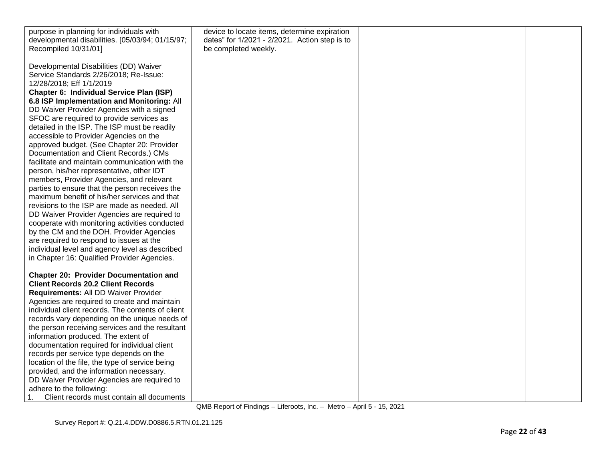| purpose in planning for individuals with                                                                                                                                                                                                                                                                                                                                                                                                                                                                                                                                                                                                                                                                                                                                                                                                                                                                                                            | device to locate items, determine expiration  |  |
|-----------------------------------------------------------------------------------------------------------------------------------------------------------------------------------------------------------------------------------------------------------------------------------------------------------------------------------------------------------------------------------------------------------------------------------------------------------------------------------------------------------------------------------------------------------------------------------------------------------------------------------------------------------------------------------------------------------------------------------------------------------------------------------------------------------------------------------------------------------------------------------------------------------------------------------------------------|-----------------------------------------------|--|
| developmental disabilities. [05/03/94; 01/15/97;                                                                                                                                                                                                                                                                                                                                                                                                                                                                                                                                                                                                                                                                                                                                                                                                                                                                                                    | dates" for 1/2021 - 2/2021. Action step is to |  |
|                                                                                                                                                                                                                                                                                                                                                                                                                                                                                                                                                                                                                                                                                                                                                                                                                                                                                                                                                     |                                               |  |
| Recompiled 10/31/01]<br>Developmental Disabilities (DD) Waiver<br>Service Standards 2/26/2018; Re-Issue:<br>12/28/2018; Eff 1/1/2019<br>Chapter 6: Individual Service Plan (ISP)<br>6.8 ISP Implementation and Monitoring: All<br>DD Waiver Provider Agencies with a signed<br>SFOC are required to provide services as<br>detailed in the ISP. The ISP must be readily<br>accessible to Provider Agencies on the<br>approved budget. (See Chapter 20: Provider<br>Documentation and Client Records.) CMs<br>facilitate and maintain communication with the<br>person, his/her representative, other IDT<br>members, Provider Agencies, and relevant<br>parties to ensure that the person receives the<br>maximum benefit of his/her services and that<br>revisions to the ISP are made as needed. All<br>DD Waiver Provider Agencies are required to<br>cooperate with monitoring activities conducted<br>by the CM and the DOH. Provider Agencies | be completed weekly.                          |  |
| are required to respond to issues at the<br>individual level and agency level as described                                                                                                                                                                                                                                                                                                                                                                                                                                                                                                                                                                                                                                                                                                                                                                                                                                                          |                                               |  |
| in Chapter 16: Qualified Provider Agencies.                                                                                                                                                                                                                                                                                                                                                                                                                                                                                                                                                                                                                                                                                                                                                                                                                                                                                                         |                                               |  |
|                                                                                                                                                                                                                                                                                                                                                                                                                                                                                                                                                                                                                                                                                                                                                                                                                                                                                                                                                     |                                               |  |
| <b>Chapter 20: Provider Documentation and</b>                                                                                                                                                                                                                                                                                                                                                                                                                                                                                                                                                                                                                                                                                                                                                                                                                                                                                                       |                                               |  |
| <b>Client Records 20.2 Client Records</b>                                                                                                                                                                                                                                                                                                                                                                                                                                                                                                                                                                                                                                                                                                                                                                                                                                                                                                           |                                               |  |
| Requirements: All DD Waiver Provider                                                                                                                                                                                                                                                                                                                                                                                                                                                                                                                                                                                                                                                                                                                                                                                                                                                                                                                |                                               |  |
| Agencies are required to create and maintain                                                                                                                                                                                                                                                                                                                                                                                                                                                                                                                                                                                                                                                                                                                                                                                                                                                                                                        |                                               |  |
| individual client records. The contents of client                                                                                                                                                                                                                                                                                                                                                                                                                                                                                                                                                                                                                                                                                                                                                                                                                                                                                                   |                                               |  |
| records vary depending on the unique needs of                                                                                                                                                                                                                                                                                                                                                                                                                                                                                                                                                                                                                                                                                                                                                                                                                                                                                                       |                                               |  |
| the person receiving services and the resultant                                                                                                                                                                                                                                                                                                                                                                                                                                                                                                                                                                                                                                                                                                                                                                                                                                                                                                     |                                               |  |
| information produced. The extent of<br>documentation required for individual client                                                                                                                                                                                                                                                                                                                                                                                                                                                                                                                                                                                                                                                                                                                                                                                                                                                                 |                                               |  |
| records per service type depends on the                                                                                                                                                                                                                                                                                                                                                                                                                                                                                                                                                                                                                                                                                                                                                                                                                                                                                                             |                                               |  |
| location of the file, the type of service being                                                                                                                                                                                                                                                                                                                                                                                                                                                                                                                                                                                                                                                                                                                                                                                                                                                                                                     |                                               |  |
| provided, and the information necessary.                                                                                                                                                                                                                                                                                                                                                                                                                                                                                                                                                                                                                                                                                                                                                                                                                                                                                                            |                                               |  |
| DD Waiver Provider Agencies are required to                                                                                                                                                                                                                                                                                                                                                                                                                                                                                                                                                                                                                                                                                                                                                                                                                                                                                                         |                                               |  |
| adhere to the following:                                                                                                                                                                                                                                                                                                                                                                                                                                                                                                                                                                                                                                                                                                                                                                                                                                                                                                                            |                                               |  |
| Client records must contain all documents                                                                                                                                                                                                                                                                                                                                                                                                                                                                                                                                                                                                                                                                                                                                                                                                                                                                                                           |                                               |  |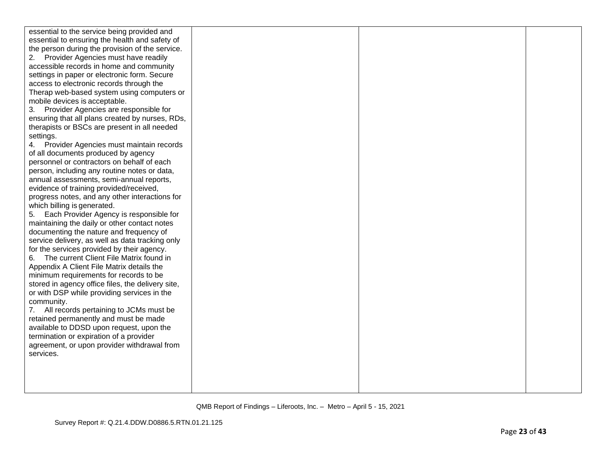| essential to the service being provided and       |  |  |
|---------------------------------------------------|--|--|
| essential to ensuring the health and safety of    |  |  |
| the person during the provision of the service.   |  |  |
| Provider Agencies must have readily<br>2.         |  |  |
| accessible records in home and community          |  |  |
| settings in paper or electronic form. Secure      |  |  |
| access to electronic records through the          |  |  |
| Therap web-based system using computers or        |  |  |
| mobile devices is acceptable.                     |  |  |
| 3. Provider Agencies are responsible for          |  |  |
| ensuring that all plans created by nurses, RDs,   |  |  |
| therapists or BSCs are present in all needed      |  |  |
| settings.                                         |  |  |
| Provider Agencies must maintain records           |  |  |
| of all documents produced by agency               |  |  |
| personnel or contractors on behalf of each        |  |  |
| person, including any routine notes or data,      |  |  |
| annual assessments, semi-annual reports,          |  |  |
| evidence of training provided/received,           |  |  |
| progress notes, and any other interactions for    |  |  |
| which billing is generated.                       |  |  |
| Each Provider Agency is responsible for<br>5.     |  |  |
| maintaining the daily or other contact notes      |  |  |
| documenting the nature and frequency of           |  |  |
| service delivery, as well as data tracking only   |  |  |
| for the services provided by their agency.        |  |  |
| The current Client File Matrix found in<br>6.     |  |  |
| Appendix A Client File Matrix details the         |  |  |
| minimum requirements for records to be            |  |  |
| stored in agency office files, the delivery site, |  |  |
| or with DSP while providing services in the       |  |  |
| community.                                        |  |  |
| All records pertaining to JCMs must be<br>7.      |  |  |
| retained permanently and must be made             |  |  |
| available to DDSD upon request, upon the          |  |  |
| termination or expiration of a provider           |  |  |
| agreement, or upon provider withdrawal from       |  |  |
| services.                                         |  |  |
|                                                   |  |  |
|                                                   |  |  |
|                                                   |  |  |
|                                                   |  |  |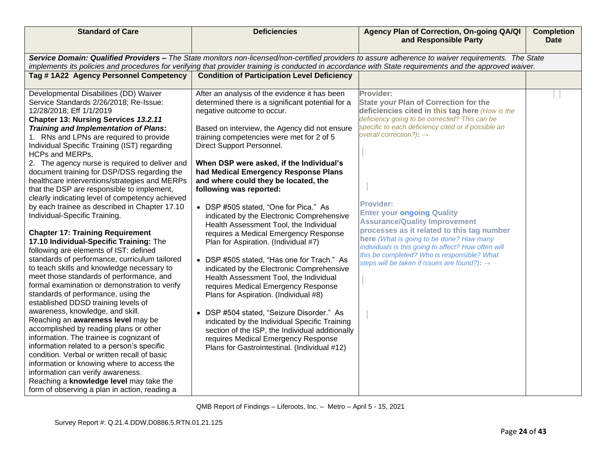| <b>Standard of Care</b>                                                                                                                                                                                                                                                                                                                                                                                                                                                                                                                                                                                                                                                                                                                                                                                                                                                                                                                                                                                                                                                                                                                                                                                                                                                                                                                                                                                                                                                                                        | <b>Deficiencies</b>                                                                                                                                                                                                                                                                                                                                                                                                                                                                                                                                                                                                                                                                                                                                                                                                                                                                                                                                                                                                                                                                                         | Agency Plan of Correction, On-going QA/QI<br>and Responsible Party                                                                                                                                                                                                                                                                                                                                                                                                                                                                                                                                                       | <b>Completion</b><br><b>Date</b> |
|----------------------------------------------------------------------------------------------------------------------------------------------------------------------------------------------------------------------------------------------------------------------------------------------------------------------------------------------------------------------------------------------------------------------------------------------------------------------------------------------------------------------------------------------------------------------------------------------------------------------------------------------------------------------------------------------------------------------------------------------------------------------------------------------------------------------------------------------------------------------------------------------------------------------------------------------------------------------------------------------------------------------------------------------------------------------------------------------------------------------------------------------------------------------------------------------------------------------------------------------------------------------------------------------------------------------------------------------------------------------------------------------------------------------------------------------------------------------------------------------------------------|-------------------------------------------------------------------------------------------------------------------------------------------------------------------------------------------------------------------------------------------------------------------------------------------------------------------------------------------------------------------------------------------------------------------------------------------------------------------------------------------------------------------------------------------------------------------------------------------------------------------------------------------------------------------------------------------------------------------------------------------------------------------------------------------------------------------------------------------------------------------------------------------------------------------------------------------------------------------------------------------------------------------------------------------------------------------------------------------------------------|--------------------------------------------------------------------------------------------------------------------------------------------------------------------------------------------------------------------------------------------------------------------------------------------------------------------------------------------------------------------------------------------------------------------------------------------------------------------------------------------------------------------------------------------------------------------------------------------------------------------------|----------------------------------|
|                                                                                                                                                                                                                                                                                                                                                                                                                                                                                                                                                                                                                                                                                                                                                                                                                                                                                                                                                                                                                                                                                                                                                                                                                                                                                                                                                                                                                                                                                                                |                                                                                                                                                                                                                                                                                                                                                                                                                                                                                                                                                                                                                                                                                                                                                                                                                                                                                                                                                                                                                                                                                                             | Service Domain: Qualified Providers - The State monitors non-licensed/non-certified providers to assure adherence to waiver requirements. The State                                                                                                                                                                                                                                                                                                                                                                                                                                                                      |                                  |
|                                                                                                                                                                                                                                                                                                                                                                                                                                                                                                                                                                                                                                                                                                                                                                                                                                                                                                                                                                                                                                                                                                                                                                                                                                                                                                                                                                                                                                                                                                                |                                                                                                                                                                                                                                                                                                                                                                                                                                                                                                                                                                                                                                                                                                                                                                                                                                                                                                                                                                                                                                                                                                             | implements its policies and procedures for verifying that provider training is conducted in accordance with State requirements and the approved waiver.                                                                                                                                                                                                                                                                                                                                                                                                                                                                  |                                  |
| Tag #1A22 Agency Personnel Competency                                                                                                                                                                                                                                                                                                                                                                                                                                                                                                                                                                                                                                                                                                                                                                                                                                                                                                                                                                                                                                                                                                                                                                                                                                                                                                                                                                                                                                                                          | <b>Condition of Participation Level Deficiency</b>                                                                                                                                                                                                                                                                                                                                                                                                                                                                                                                                                                                                                                                                                                                                                                                                                                                                                                                                                                                                                                                          |                                                                                                                                                                                                                                                                                                                                                                                                                                                                                                                                                                                                                          |                                  |
| Developmental Disabilities (DD) Waiver<br>Service Standards 2/26/2018; Re-Issue:<br>12/28/2018; Eff 1/1/2019<br>Chapter 13: Nursing Services 13.2.11<br><b>Training and Implementation of Plans:</b><br>1. RNs and LPNs are required to provide<br>Individual Specific Training (IST) regarding<br>HCPs and MERPs.<br>2. The agency nurse is required to deliver and<br>document training for DSP/DSS regarding the<br>healthcare interventions/strategies and MERPs<br>that the DSP are responsible to implement,<br>clearly indicating level of competency achieved<br>by each trainee as described in Chapter 17.10<br>Individual-Specific Training.<br><b>Chapter 17: Training Requirement</b><br>17.10 Individual-Specific Training: The<br>following are elements of IST: defined<br>standards of performance, curriculum tailored<br>to teach skills and knowledge necessary to<br>meet those standards of performance, and<br>formal examination or demonstration to verify<br>standards of performance, using the<br>established DDSD training levels of<br>awareness, knowledge, and skill.<br>Reaching an awareness level may be<br>accomplished by reading plans or other<br>information. The trainee is cognizant of<br>information related to a person's specific<br>condition. Verbal or written recall of basic<br>information or knowing where to access the<br>information can verify awareness.<br>Reaching a knowledge level may take the<br>form of observing a plan in action, reading a | After an analysis of the evidence it has been<br>determined there is a significant potential for a<br>negative outcome to occur.<br>Based on interview, the Agency did not ensure<br>training competencies were met for 2 of 5<br>Direct Support Personnel.<br>When DSP were asked, if the Individual's<br>had Medical Emergency Response Plans<br>and where could they be located, the<br>following was reported:<br>• DSP #505 stated, "One for Pica." As<br>indicated by the Electronic Comprehensive<br>Health Assessment Tool, the Individual<br>requires a Medical Emergency Response<br>Plan for Aspiration. (Individual #7)<br>• DSP #505 stated, "Has one for Trach." As<br>indicated by the Electronic Comprehensive<br>Health Assessment Tool, the Individual<br>requires Medical Emergency Response<br>Plans for Aspiration. (Individual #8)<br>DSP #504 stated, "Seizure Disorder." As<br>$\bullet$<br>indicated by the Individual Specific Training<br>section of the ISP, the Individual additionally<br>requires Medical Emergency Response<br>Plans for Gastrointestinal. (Individual #12) | Provider:<br><b>State your Plan of Correction for the</b><br>deficiencies cited in this tag here (How is the<br>deficiency going to be corrected? This can be<br>specific to each deficiency cited or if possible an<br>overall correction?): $\rightarrow$<br><b>Provider:</b><br><b>Enter your ongoing Quality</b><br><b>Assurance/Quality Improvement</b><br>processes as it related to this tag number<br>here (What is going to be done? How many<br>individuals is this going to affect? How often will<br>this be completed? Who is responsible? What<br>steps will be taken if issues are found?): $\rightarrow$ |                                  |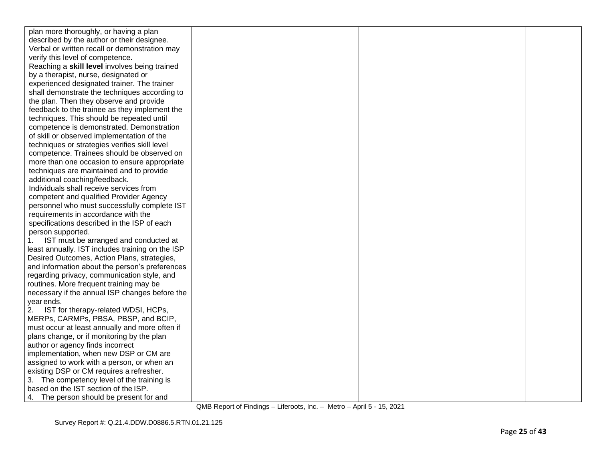| plan more thoroughly, or having a plan           |  |  |
|--------------------------------------------------|--|--|
| described by the author or their designee.       |  |  |
| Verbal or written recall or demonstration may    |  |  |
| verify this level of competence.                 |  |  |
| Reaching a skill level involves being trained    |  |  |
| by a therapist, nurse, designated or             |  |  |
| experienced designated trainer. The trainer      |  |  |
| shall demonstrate the techniques according to    |  |  |
| the plan. Then they observe and provide          |  |  |
| feedback to the trainee as they implement the    |  |  |
| techniques. This should be repeated until        |  |  |
| competence is demonstrated. Demonstration        |  |  |
| of skill or observed implementation of the       |  |  |
| techniques or strategies verifies skill level    |  |  |
| competence. Trainees should be observed on       |  |  |
| more than one occasion to ensure appropriate     |  |  |
| techniques are maintained and to provide         |  |  |
| additional coaching/feedback.                    |  |  |
| Individuals shall receive services from          |  |  |
| competent and qualified Provider Agency          |  |  |
| personnel who must successfully complete IST     |  |  |
| requirements in accordance with the              |  |  |
| specifications described in the ISP of each      |  |  |
| person supported.                                |  |  |
| IST must be arranged and conducted at<br>1.      |  |  |
| least annually. IST includes training on the ISP |  |  |
| Desired Outcomes, Action Plans, strategies,      |  |  |
| and information about the person's preferences   |  |  |
| regarding privacy, communication style, and      |  |  |
| routines. More frequent training may be          |  |  |
| necessary if the annual ISP changes before the   |  |  |
| year ends.                                       |  |  |
| 2.<br>IST for therapy-related WDSI, HCPs,        |  |  |
| MERPs, CARMPs, PBSA, PBSP, and BCIP,             |  |  |
| must occur at least annually and more often if   |  |  |
| plans change, or if monitoring by the plan       |  |  |
| author or agency finds incorrect                 |  |  |
| implementation, when new DSP or CM are           |  |  |
| assigned to work with a person, or when an       |  |  |
| existing DSP or CM requires a refresher.         |  |  |
| 3. The competency level of the training is       |  |  |
| based on the IST section of the ISP.             |  |  |
| 4. The person should be present for and          |  |  |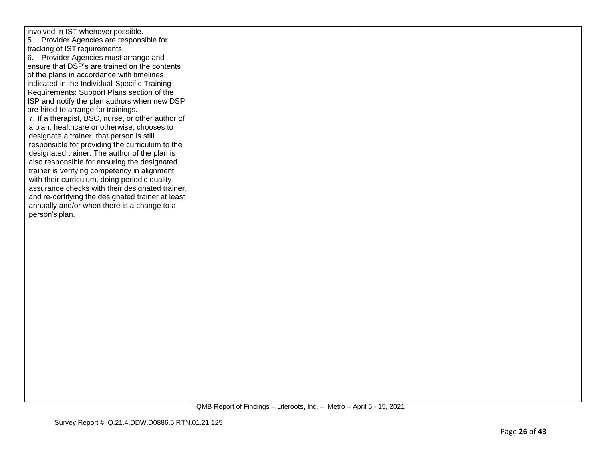| involved in IST whenever possible.                |  |  |
|---------------------------------------------------|--|--|
| 5. Provider Agencies are responsible for          |  |  |
| tracking of IST requirements.                     |  |  |
| 6. Provider Agencies must arrange and             |  |  |
|                                                   |  |  |
| ensure that DSP's are trained on the contents     |  |  |
| of the plans in accordance with timelines         |  |  |
| indicated in the Individual-Specific Training     |  |  |
| Requirements: Support Plans section of the        |  |  |
| ISP and notify the plan authors when new DSP      |  |  |
| are hired to arrange for trainings.               |  |  |
| 7. If a therapist, BSC, nurse, or other author of |  |  |
| a plan, healthcare or otherwise, chooses to       |  |  |
| designate a trainer, that person is still         |  |  |
| responsible for providing the curriculum to the   |  |  |
|                                                   |  |  |
| designated trainer. The author of the plan is     |  |  |
| also responsible for ensuring the designated      |  |  |
| trainer is verifying competency in alignment      |  |  |
| with their curriculum, doing periodic quality     |  |  |
| assurance checks with their designated trainer,   |  |  |
| and re-certifying the designated trainer at least |  |  |
| annually and/or when there is a change to a       |  |  |
| person's plan.                                    |  |  |
|                                                   |  |  |
|                                                   |  |  |
|                                                   |  |  |
|                                                   |  |  |
|                                                   |  |  |
|                                                   |  |  |
|                                                   |  |  |
|                                                   |  |  |
|                                                   |  |  |
|                                                   |  |  |
|                                                   |  |  |
|                                                   |  |  |
|                                                   |  |  |
|                                                   |  |  |
|                                                   |  |  |
|                                                   |  |  |
|                                                   |  |  |
|                                                   |  |  |
|                                                   |  |  |
|                                                   |  |  |
|                                                   |  |  |
|                                                   |  |  |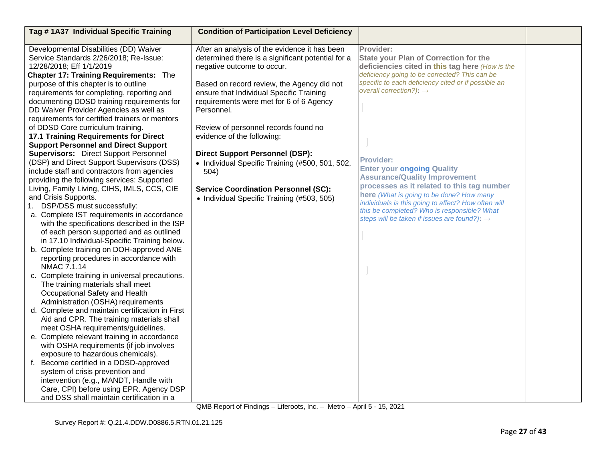| Tag #1A37 Individual Specific Training                                                 | <b>Condition of Participation Level Deficiency</b>                                     |                                                                                                  |  |
|----------------------------------------------------------------------------------------|----------------------------------------------------------------------------------------|--------------------------------------------------------------------------------------------------|--|
|                                                                                        |                                                                                        |                                                                                                  |  |
| Developmental Disabilities (DD) Waiver                                                 | After an analysis of the evidence it has been                                          | Provider:                                                                                        |  |
| Service Standards 2/26/2018; Re-Issue:                                                 | determined there is a significant potential for a                                      | <b>State your Plan of Correction for the</b>                                                     |  |
| 12/28/2018; Eff 1/1/2019                                                               | negative outcome to occur.                                                             | deficiencies cited in this tag here (How is the<br>deficiency going to be corrected? This can be |  |
| <b>Chapter 17: Training Requirements: The</b><br>purpose of this chapter is to outline |                                                                                        | specific to each deficiency cited or if possible an                                              |  |
| requirements for completing, reporting and                                             | Based on record review, the Agency did not<br>ensure that Individual Specific Training | overall correction?): $\rightarrow$                                                              |  |
| documenting DDSD training requirements for                                             | requirements were met for 6 of 6 Agency                                                |                                                                                                  |  |
| DD Waiver Provider Agencies as well as                                                 | Personnel.                                                                             |                                                                                                  |  |
| requirements for certified trainers or mentors                                         |                                                                                        |                                                                                                  |  |
| of DDSD Core curriculum training.                                                      | Review of personnel records found no                                                   |                                                                                                  |  |
| 17.1 Training Requirements for Direct                                                  | evidence of the following:                                                             |                                                                                                  |  |
| <b>Support Personnel and Direct Support</b>                                            |                                                                                        |                                                                                                  |  |
| <b>Supervisors:</b> Direct Support Personnel                                           | <b>Direct Support Personnel (DSP):</b>                                                 |                                                                                                  |  |
| (DSP) and Direct Support Supervisors (DSS)                                             | • Individual Specific Training (#500, 501, 502,                                        | <b>Provider:</b>                                                                                 |  |
| include staff and contractors from agencies                                            | 504)                                                                                   | <b>Enter your ongoing Quality</b>                                                                |  |
| providing the following services: Supported                                            |                                                                                        | <b>Assurance/Quality Improvement</b>                                                             |  |
| Living, Family Living, CIHS, IMLS, CCS, CIE                                            | <b>Service Coordination Personnel (SC):</b>                                            | processes as it related to this tag number                                                       |  |
| and Crisis Supports.                                                                   | • Individual Specific Training (#503, 505)                                             | here (What is going to be done? How many                                                         |  |
| 1. DSP/DSS must successfully:                                                          |                                                                                        | individuals is this going to affect? How often will                                              |  |
| a. Complete IST requirements in accordance                                             |                                                                                        | this be completed? Who is responsible? What<br>steps will be taken if issues are found?): →      |  |
| with the specifications described in the ISP                                           |                                                                                        |                                                                                                  |  |
| of each person supported and as outlined                                               |                                                                                        |                                                                                                  |  |
| in 17.10 Individual-Specific Training below.                                           |                                                                                        |                                                                                                  |  |
| b. Complete training on DOH-approved ANE                                               |                                                                                        |                                                                                                  |  |
| reporting procedures in accordance with                                                |                                                                                        |                                                                                                  |  |
| NMAC 7.1.14                                                                            |                                                                                        |                                                                                                  |  |
| c. Complete training in universal precautions.                                         |                                                                                        |                                                                                                  |  |
| The training materials shall meet                                                      |                                                                                        |                                                                                                  |  |
| Occupational Safety and Health                                                         |                                                                                        |                                                                                                  |  |
| Administration (OSHA) requirements                                                     |                                                                                        |                                                                                                  |  |
| d. Complete and maintain certification in First                                        |                                                                                        |                                                                                                  |  |
| Aid and CPR. The training materials shall<br>meet OSHA requirements/guidelines.        |                                                                                        |                                                                                                  |  |
| e. Complete relevant training in accordance                                            |                                                                                        |                                                                                                  |  |
| with OSHA requirements (if job involves                                                |                                                                                        |                                                                                                  |  |
| exposure to hazardous chemicals).                                                      |                                                                                        |                                                                                                  |  |
| f. Become certified in a DDSD-approved                                                 |                                                                                        |                                                                                                  |  |
| system of crisis prevention and                                                        |                                                                                        |                                                                                                  |  |
| intervention (e.g., MANDT, Handle with                                                 |                                                                                        |                                                                                                  |  |
| Care, CPI) before using EPR. Agency DSP                                                |                                                                                        |                                                                                                  |  |
| and DSS shall maintain certification in a                                              |                                                                                        |                                                                                                  |  |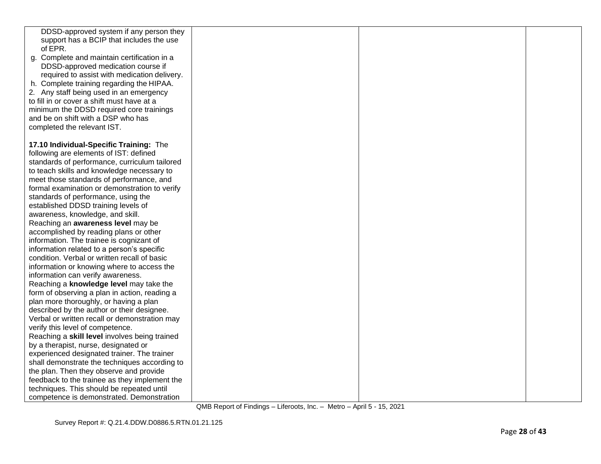| DDSD-approved system if any person they       |  |  |
|-----------------------------------------------|--|--|
| support has a BCIP that includes the use      |  |  |
| of EPR.                                       |  |  |
| g. Complete and maintain certification in a   |  |  |
| DDSD-approved medication course if            |  |  |
| required to assist with medication delivery.  |  |  |
| h. Complete training regarding the HIPAA.     |  |  |
| 2. Any staff being used in an emergency       |  |  |
| to fill in or cover a shift must have at a    |  |  |
| minimum the DDSD required core trainings      |  |  |
| and be on shift with a DSP who has            |  |  |
| completed the relevant IST.                   |  |  |
|                                               |  |  |
| 17.10 Individual-Specific Training: The       |  |  |
| following are elements of IST: defined        |  |  |
|                                               |  |  |
| standards of performance, curriculum tailored |  |  |
| to teach skills and knowledge necessary to    |  |  |
| meet those standards of performance, and      |  |  |
| formal examination or demonstration to verify |  |  |
| standards of performance, using the           |  |  |
| established DDSD training levels of           |  |  |
| awareness, knowledge, and skill.              |  |  |
| Reaching an awareness level may be            |  |  |
| accomplished by reading plans or other        |  |  |
| information. The trainee is cognizant of      |  |  |
| information related to a person's specific    |  |  |
| condition. Verbal or written recall of basic  |  |  |
| information or knowing where to access the    |  |  |
| information can verify awareness.             |  |  |
| Reaching a knowledge level may take the       |  |  |
| form of observing a plan in action, reading a |  |  |
| plan more thoroughly, or having a plan        |  |  |
| described by the author or their designee.    |  |  |
| Verbal or written recall or demonstration may |  |  |
| verify this level of competence.              |  |  |
| Reaching a skill level involves being trained |  |  |
| by a therapist, nurse, designated or          |  |  |
| experienced designated trainer. The trainer   |  |  |
| shall demonstrate the techniques according to |  |  |
| the plan. Then they observe and provide       |  |  |
| feedback to the trainee as they implement the |  |  |
| techniques. This should be repeated until     |  |  |
| competence is demonstrated. Demonstration     |  |  |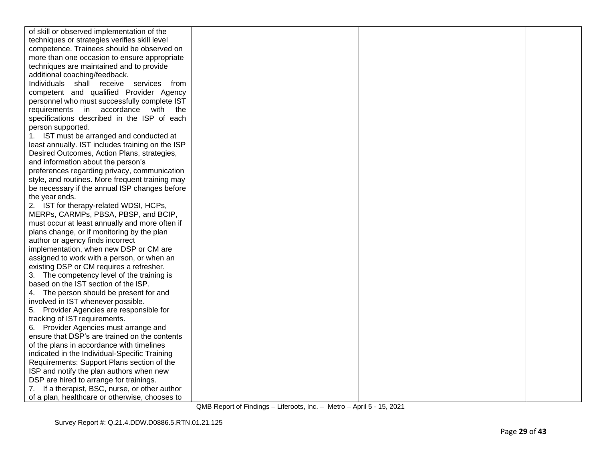| of skill or observed implementation of the                                                 |  |  |
|--------------------------------------------------------------------------------------------|--|--|
| techniques or strategies verifies skill level                                              |  |  |
| competence. Trainees should be observed on                                                 |  |  |
| more than one occasion to ensure appropriate                                               |  |  |
| techniques are maintained and to provide                                                   |  |  |
| additional coaching/feedback.                                                              |  |  |
| Individuals shall receive services from                                                    |  |  |
| competent and qualified Provider Agency                                                    |  |  |
| personnel who must successfully complete IST                                               |  |  |
| requirements in accordance with the                                                        |  |  |
| specifications described in the ISP of each                                                |  |  |
| person supported.                                                                          |  |  |
| 1. IST must be arranged and conducted at                                                   |  |  |
| least annually. IST includes training on the ISP                                           |  |  |
| Desired Outcomes, Action Plans, strategies,                                                |  |  |
| and information about the person's                                                         |  |  |
| preferences regarding privacy, communication                                               |  |  |
| style, and routines. More frequent training may                                            |  |  |
| be necessary if the annual ISP changes before                                              |  |  |
| the year ends.                                                                             |  |  |
| 2. IST for therapy-related WDSI, HCPs,                                                     |  |  |
| MERPs, CARMPs, PBSA, PBSP, and BCIP,                                                       |  |  |
| must occur at least annually and more often if                                             |  |  |
| plans change, or if monitoring by the plan                                                 |  |  |
| author or agency finds incorrect                                                           |  |  |
| implementation, when new DSP or CM are                                                     |  |  |
| assigned to work with a person, or when an                                                 |  |  |
| existing DSP or CM requires a refresher.                                                   |  |  |
| 3. The competency level of the training is                                                 |  |  |
| based on the IST section of the ISP.                                                       |  |  |
| 4. The person should be present for and                                                    |  |  |
| involved in IST whenever possible.                                                         |  |  |
| 5. Provider Agencies are responsible for                                                   |  |  |
| tracking of IST requirements.                                                              |  |  |
| 6. Provider Agencies must arrange and<br>ensure that DSP's are trained on the contents     |  |  |
|                                                                                            |  |  |
| of the plans in accordance with timelines<br>indicated in the Individual-Specific Training |  |  |
| Requirements: Support Plans section of the                                                 |  |  |
| ISP and notify the plan authors when new                                                   |  |  |
| DSP are hired to arrange for trainings.                                                    |  |  |
| 7. If a therapist, BSC, nurse, or other author                                             |  |  |
| of a plan, healthcare or otherwise, chooses to                                             |  |  |
|                                                                                            |  |  |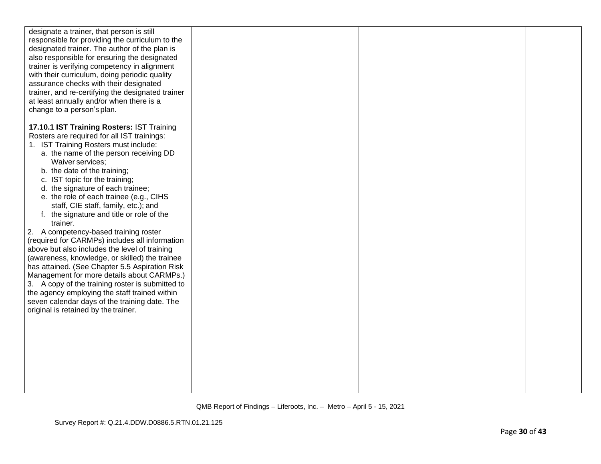| designate a trainer, that person is still<br>responsible for providing the curriculum to the<br>designated trainer. The author of the plan is<br>also responsible for ensuring the designated<br>trainer is verifying competency in alignment<br>with their curriculum, doing periodic quality<br>assurance checks with their designated<br>trainer, and re-certifying the designated trainer<br>at least annually and/or when there is a<br>change to a person's plan.                                                                                                                                                                                                                                                                                                                                                                                                                                                                         |  |  |
|-------------------------------------------------------------------------------------------------------------------------------------------------------------------------------------------------------------------------------------------------------------------------------------------------------------------------------------------------------------------------------------------------------------------------------------------------------------------------------------------------------------------------------------------------------------------------------------------------------------------------------------------------------------------------------------------------------------------------------------------------------------------------------------------------------------------------------------------------------------------------------------------------------------------------------------------------|--|--|
| 17.10.1 IST Training Rosters: IST Training<br>Rosters are required for all IST trainings:<br>1. IST Training Rosters must include:<br>a. the name of the person receiving DD<br>Waiver services;<br>b. the date of the training;<br>c. IST topic for the training;<br>d. the signature of each trainee;<br>e. the role of each trainee (e.g., CIHS<br>staff, CIE staff, family, etc.); and<br>f. the signature and title or role of the<br>trainer.<br>2. A competency-based training roster<br>(required for CARMPs) includes all information<br>above but also includes the level of training<br>(awareness, knowledge, or skilled) the trainee<br>has attained. (See Chapter 5.5 Aspiration Risk<br>Management for more details about CARMPs.)<br>3. A copy of the training roster is submitted to<br>the agency employing the staff trained within<br>seven calendar days of the training date. The<br>original is retained by the trainer. |  |  |
|                                                                                                                                                                                                                                                                                                                                                                                                                                                                                                                                                                                                                                                                                                                                                                                                                                                                                                                                                 |  |  |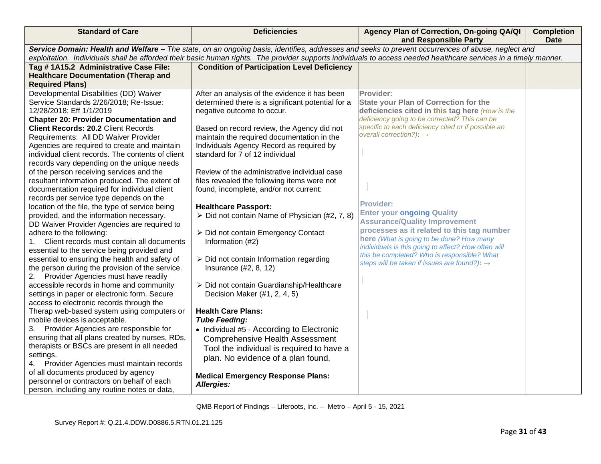| <b>Standard of Care</b>                                                                                                                                          | <b>Deficiencies</b>                                           | Agency Plan of Correction, On-going QA/QI<br>and Responsible Party                                                                                | <b>Completion</b><br><b>Date</b> |
|------------------------------------------------------------------------------------------------------------------------------------------------------------------|---------------------------------------------------------------|---------------------------------------------------------------------------------------------------------------------------------------------------|----------------------------------|
|                                                                                                                                                                  |                                                               | Service Domain: Health and Welfare - The state, on an ongoing basis, identifies, addresses and seeks to prevent occurrences of abuse, neglect and |                                  |
| exploitation. Individuals shall be afforded their basic human rights. The provider supports individuals to access needed healthcare services in a timely manner. |                                                               |                                                                                                                                                   |                                  |
| Tag #1A15.2 Administrative Case File:                                                                                                                            | <b>Condition of Participation Level Deficiency</b>            |                                                                                                                                                   |                                  |
| <b>Healthcare Documentation (Therap and</b>                                                                                                                      |                                                               |                                                                                                                                                   |                                  |
| <b>Required Plans)</b>                                                                                                                                           |                                                               |                                                                                                                                                   |                                  |
| Developmental Disabilities (DD) Waiver                                                                                                                           | After an analysis of the evidence it has been                 | Provider:                                                                                                                                         |                                  |
| Service Standards 2/26/2018; Re-Issue:                                                                                                                           | determined there is a significant potential for a             | <b>State your Plan of Correction for the</b>                                                                                                      |                                  |
| 12/28/2018; Eff 1/1/2019                                                                                                                                         | negative outcome to occur.                                    | deficiencies cited in this tag here (How is the                                                                                                   |                                  |
| <b>Chapter 20: Provider Documentation and</b>                                                                                                                    |                                                               | deficiency going to be corrected? This can be                                                                                                     |                                  |
| <b>Client Records: 20.2 Client Records</b>                                                                                                                       | Based on record review, the Agency did not                    | specific to each deficiency cited or if possible an                                                                                               |                                  |
| Requirements: All DD Waiver Provider                                                                                                                             | maintain the required documentation in the                    | overall correction?): $\rightarrow$                                                                                                               |                                  |
| Agencies are required to create and maintain                                                                                                                     | Individuals Agency Record as required by                      |                                                                                                                                                   |                                  |
| individual client records. The contents of client                                                                                                                | standard for 7 of 12 individual                               |                                                                                                                                                   |                                  |
| records vary depending on the unique needs                                                                                                                       |                                                               |                                                                                                                                                   |                                  |
| of the person receiving services and the                                                                                                                         | Review of the administrative individual case                  |                                                                                                                                                   |                                  |
| resultant information produced. The extent of                                                                                                                    | files revealed the following items were not                   |                                                                                                                                                   |                                  |
| documentation required for individual client                                                                                                                     | found, incomplete, and/or not current:                        |                                                                                                                                                   |                                  |
| records per service type depends on the                                                                                                                          |                                                               | <b>Provider:</b>                                                                                                                                  |                                  |
| location of the file, the type of service being                                                                                                                  | <b>Healthcare Passport:</b>                                   | <b>Enter your ongoing Quality</b>                                                                                                                 |                                  |
| provided, and the information necessary.                                                                                                                         | $\triangleright$ Did not contain Name of Physician (#2, 7, 8) | <b>Assurance/Quality Improvement</b>                                                                                                              |                                  |
| DD Waiver Provider Agencies are required to                                                                                                                      |                                                               | processes as it related to this tag number                                                                                                        |                                  |
| adhere to the following:                                                                                                                                         | ▶ Did not contain Emergency Contact                           | here (What is going to be done? How many                                                                                                          |                                  |
| Client records must contain all documents                                                                                                                        | Information (#2)                                              | individuals is this going to affect? How often will                                                                                               |                                  |
| essential to the service being provided and                                                                                                                      |                                                               | this be completed? Who is responsible? What                                                                                                       |                                  |
| essential to ensuring the health and safety of                                                                                                                   | $\triangleright$ Did not contain Information regarding        | steps will be taken if issues are found?): $\rightarrow$                                                                                          |                                  |
| the person during the provision of the service.                                                                                                                  | Insurance (#2, 8, 12)                                         |                                                                                                                                                   |                                  |
| 2. Provider Agencies must have readily                                                                                                                           |                                                               |                                                                                                                                                   |                                  |
| accessible records in home and community                                                                                                                         | > Did not contain Guardianship/Healthcare                     |                                                                                                                                                   |                                  |
| settings in paper or electronic form. Secure<br>access to electronic records through the                                                                         | Decision Maker (#1, 2, 4, 5)                                  |                                                                                                                                                   |                                  |
| Therap web-based system using computers or                                                                                                                       | <b>Health Care Plans:</b>                                     |                                                                                                                                                   |                                  |
| mobile devices is acceptable.                                                                                                                                    | <b>Tube Feeding:</b>                                          |                                                                                                                                                   |                                  |
| 3. Provider Agencies are responsible for                                                                                                                         | • Individual #5 - According to Electronic                     |                                                                                                                                                   |                                  |
| ensuring that all plans created by nurses, RDs,                                                                                                                  | <b>Comprehensive Health Assessment</b>                        |                                                                                                                                                   |                                  |
| therapists or BSCs are present in all needed                                                                                                                     |                                                               |                                                                                                                                                   |                                  |
| settings.                                                                                                                                                        | Tool the individual is required to have a                     |                                                                                                                                                   |                                  |
| Provider Agencies must maintain records<br>4.                                                                                                                    | plan. No evidence of a plan found.                            |                                                                                                                                                   |                                  |
| of all documents produced by agency                                                                                                                              |                                                               |                                                                                                                                                   |                                  |
| personnel or contractors on behalf of each                                                                                                                       | <b>Medical Emergency Response Plans:</b>                      |                                                                                                                                                   |                                  |
| person, including any routine notes or data,                                                                                                                     | Allergies:                                                    |                                                                                                                                                   |                                  |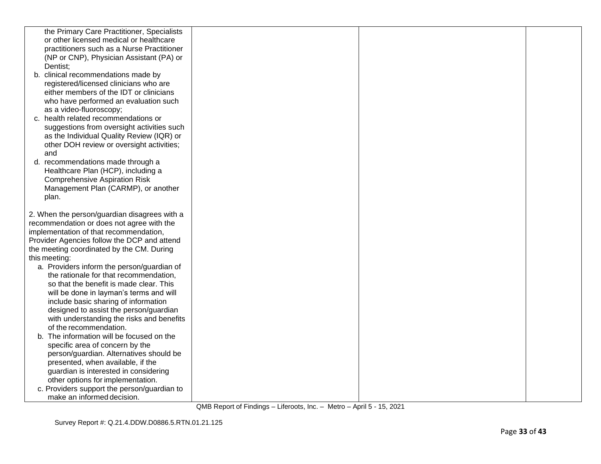| the Primary Care Practitioner, Specialists                  |  |  |
|-------------------------------------------------------------|--|--|
| or other licensed medical or healthcare                     |  |  |
| practitioners such as a Nurse Practitioner                  |  |  |
| (NP or CNP), Physician Assistant (PA) or                    |  |  |
| Dentist:                                                    |  |  |
| b. clinical recommendations made by                         |  |  |
| registered/licensed clinicians who are                      |  |  |
| either members of the IDT or clinicians                     |  |  |
| who have performed an evaluation such                       |  |  |
| as a video-fluoroscopy;                                     |  |  |
| c. health related recommendations or                        |  |  |
| suggestions from oversight activities such                  |  |  |
| as the Individual Quality Review (IQR) or                   |  |  |
| other DOH review or oversight activities;                   |  |  |
| and                                                         |  |  |
| d. recommendations made through a                           |  |  |
| Healthcare Plan (HCP), including a                          |  |  |
| <b>Comprehensive Aspiration Risk</b>                        |  |  |
| Management Plan (CARMP), or another                         |  |  |
| plan.                                                       |  |  |
|                                                             |  |  |
| 2. When the person/guardian disagrees with a                |  |  |
| recommendation or does not agree with the                   |  |  |
| implementation of that recommendation,                      |  |  |
| Provider Agencies follow the DCP and attend                 |  |  |
| the meeting coordinated by the CM. During                   |  |  |
| this meeting:<br>a. Providers inform the person/guardian of |  |  |
| the rationale for that recommendation,                      |  |  |
| so that the benefit is made clear. This                     |  |  |
| will be done in layman's terms and will                     |  |  |
| include basic sharing of information                        |  |  |
| designed to assist the person/guardian                      |  |  |
| with understanding the risks and benefits                   |  |  |
| of the recommendation.                                      |  |  |
| b. The information will be focused on the                   |  |  |
| specific area of concern by the                             |  |  |
| person/guardian. Alternatives should be                     |  |  |
| presented, when available, if the                           |  |  |
| guardian is interested in considering                       |  |  |
| other options for implementation.                           |  |  |
| c. Providers support the person/guardian to                 |  |  |
| make an informed decision.                                  |  |  |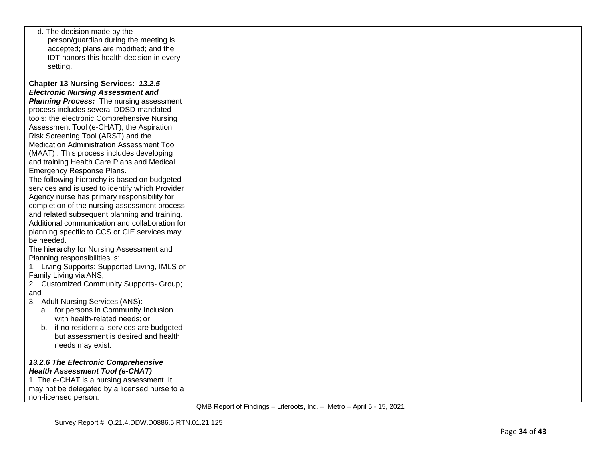| d. The decision made by the                     |  |  |
|-------------------------------------------------|--|--|
| person/guardian during the meeting is           |  |  |
| accepted; plans are modified; and the           |  |  |
| IDT honors this health decision in every        |  |  |
| setting.                                        |  |  |
|                                                 |  |  |
| Chapter 13 Nursing Services: 13.2.5             |  |  |
| <b>Electronic Nursing Assessment and</b>        |  |  |
| <b>Planning Process:</b> The nursing assessment |  |  |
|                                                 |  |  |
| process includes several DDSD mandated          |  |  |
| tools: the electronic Comprehensive Nursing     |  |  |
| Assessment Tool (e-CHAT), the Aspiration        |  |  |
| Risk Screening Tool (ARST) and the              |  |  |
| Medication Administration Assessment Tool       |  |  |
| (MAAT). This process includes developing        |  |  |
| and training Health Care Plans and Medical      |  |  |
| Emergency Response Plans.                       |  |  |
| The following hierarchy is based on budgeted    |  |  |
| services and is used to identify which Provider |  |  |
| Agency nurse has primary responsibility for     |  |  |
| completion of the nursing assessment process    |  |  |
| and related subsequent planning and training.   |  |  |
| Additional communication and collaboration for  |  |  |
|                                                 |  |  |
| planning specific to CCS or CIE services may    |  |  |
| be needed.                                      |  |  |
| The hierarchy for Nursing Assessment and        |  |  |
| Planning responsibilities is:                   |  |  |
| 1. Living Supports: Supported Living, IMLS or   |  |  |
| Family Living via ANS;                          |  |  |
| 2. Customized Community Supports- Group;        |  |  |
| and                                             |  |  |
| 3. Adult Nursing Services (ANS):                |  |  |
| a. for persons in Community Inclusion           |  |  |
| with health-related needs; or                   |  |  |
| b. if no residential services are budgeted      |  |  |
| but assessment is desired and health            |  |  |
| needs may exist.                                |  |  |
|                                                 |  |  |
| 13.2.6 The Electronic Comprehensive             |  |  |
| <b>Health Assessment Tool (e-CHAT)</b>          |  |  |
| 1. The e-CHAT is a nursing assessment. It       |  |  |
|                                                 |  |  |
| may not be delegated by a licensed nurse to a   |  |  |
| non-licensed person.                            |  |  |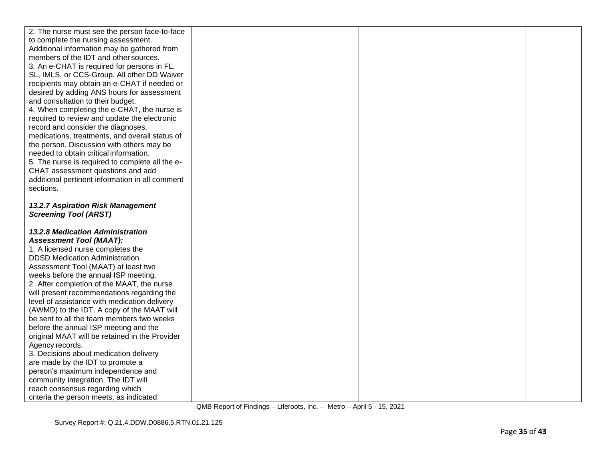| 2. The nurse must see the person face-to-face                              |  |  |
|----------------------------------------------------------------------------|--|--|
| to complete the nursing assessment.                                        |  |  |
| Additional information may be gathered from                                |  |  |
| members of the IDT and other sources.                                      |  |  |
| 3. An e-CHAT is required for persons in FL,                                |  |  |
| SL, IMLS, or CCS-Group. All other DD Waiver                                |  |  |
| recipients may obtain an e-CHAT if needed or                               |  |  |
| desired by adding ANS hours for assessment                                 |  |  |
| and consultation to their budget.                                          |  |  |
| 4. When completing the e-CHAT, the nurse is                                |  |  |
| required to review and update the electronic                               |  |  |
| record and consider the diagnoses,                                         |  |  |
| medications, treatments, and overall status of                             |  |  |
| the person. Discussion with others may be                                  |  |  |
| needed to obtain critical information.                                     |  |  |
| 5. The nurse is required to complete all the e-                            |  |  |
| CHAT assessment questions and add                                          |  |  |
| additional pertinent information in all comment                            |  |  |
| sections.                                                                  |  |  |
|                                                                            |  |  |
| 13.2.7 Aspiration Risk Management                                          |  |  |
| <b>Screening Tool (ARST)</b>                                               |  |  |
|                                                                            |  |  |
| <b>13.2.8 Medication Administration</b>                                    |  |  |
| <b>Assessment Tool (MAAT):</b>                                             |  |  |
| 1. A licensed nurse completes the                                          |  |  |
| <b>DDSD Medication Administration</b>                                      |  |  |
| Assessment Tool (MAAT) at least two                                        |  |  |
| weeks before the annual ISP meeting.                                       |  |  |
| 2. After completion of the MAAT, the nurse                                 |  |  |
| will present recommendations regarding the                                 |  |  |
|                                                                            |  |  |
| level of assistance with medication delivery                               |  |  |
| (AWMD) to the IDT. A copy of the MAAT will                                 |  |  |
| be sent to all the team members two weeks                                  |  |  |
| before the annual ISP meeting and the                                      |  |  |
| original MAAT will be retained in the Provider                             |  |  |
| Agency records.                                                            |  |  |
| 3. Decisions about medication delivery                                     |  |  |
| are made by the IDT to promote a                                           |  |  |
| person's maximum independence and                                          |  |  |
| community integration. The IDT will                                        |  |  |
| reach consensus regarding which<br>criteria the person meets, as indicated |  |  |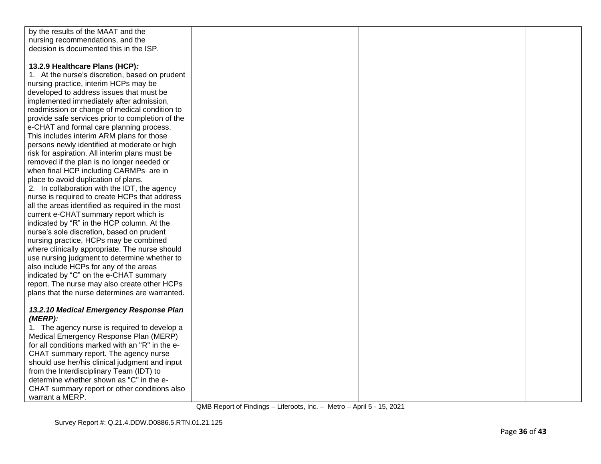| by the results of the MAAT and the               |  |  |
|--------------------------------------------------|--|--|
| nursing recommendations, and the                 |  |  |
| decision is documented this in the ISP.          |  |  |
|                                                  |  |  |
| 13.2.9 Healthcare Plans (HCP):                   |  |  |
| 1. At the nurse's discretion, based on prudent   |  |  |
| nursing practice, interim HCPs may be            |  |  |
| developed to address issues that must be         |  |  |
| implemented immediately after admission,         |  |  |
| readmission or change of medical condition to    |  |  |
| provide safe services prior to completion of the |  |  |
| e-CHAT and formal care planning process.         |  |  |
| This includes interim ARM plans for those        |  |  |
| persons newly identified at moderate or high     |  |  |
| risk for aspiration. All interim plans must be   |  |  |
| removed if the plan is no longer needed or       |  |  |
| when final HCP including CARMPs are in           |  |  |
| place to avoid duplication of plans.             |  |  |
| 2. In collaboration with the IDT, the agency     |  |  |
| nurse is required to create HCPs that address    |  |  |
| all the areas identified as required in the most |  |  |
| current e-CHAT summary report which is           |  |  |
| indicated by "R" in the HCP column. At the       |  |  |
| nurse's sole discretion, based on prudent        |  |  |
| nursing practice, HCPs may be combined           |  |  |
| where clinically appropriate. The nurse should   |  |  |
| use nursing judgment to determine whether to     |  |  |
| also include HCPs for any of the areas           |  |  |
| indicated by "C" on the e-CHAT summary           |  |  |
| report. The nurse may also create other HCPs     |  |  |
| plans that the nurse determines are warranted.   |  |  |
|                                                  |  |  |
| 13.2.10 Medical Emergency Response Plan          |  |  |
| $(MERP)$ :                                       |  |  |
| 1. The agency nurse is required to develop a     |  |  |
| Medical Emergency Response Plan (MERP)           |  |  |
| for all conditions marked with an "R" in the e-  |  |  |
| CHAT summary report. The agency nurse            |  |  |
| should use her/his clinical judgment and input   |  |  |
| from the Interdisciplinary Team (IDT) to         |  |  |
| determine whether shown as "C" in the e-         |  |  |
| CHAT summary report or other conditions also     |  |  |
| warrant a MERP.                                  |  |  |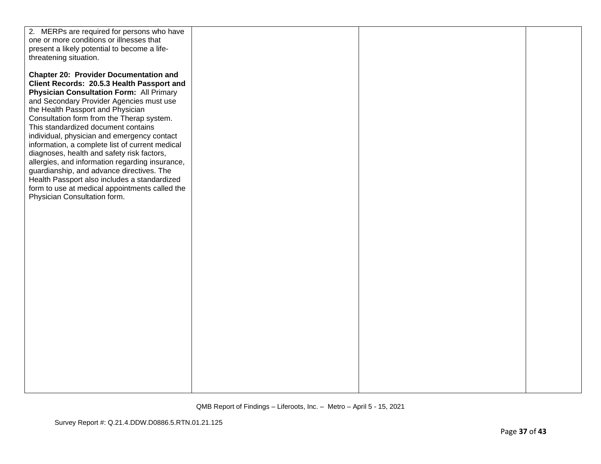| 2. MERPs are required for persons who have      |  |  |
|-------------------------------------------------|--|--|
| one or more conditions or illnesses that        |  |  |
| present a likely potential to become a life-    |  |  |
| threatening situation.                          |  |  |
|                                                 |  |  |
| <b>Chapter 20: Provider Documentation and</b>   |  |  |
| Client Records: 20.5.3 Health Passport and      |  |  |
| <b>Physician Consultation Form: All Primary</b> |  |  |
| and Secondary Provider Agencies must use        |  |  |
| the Health Passport and Physician               |  |  |
| Consultation form from the Therap system.       |  |  |
| This standardized document contains             |  |  |
| individual, physician and emergency contact     |  |  |
| information, a complete list of current medical |  |  |
| diagnoses, health and safety risk factors,      |  |  |
| allergies, and information regarding insurance, |  |  |
| guardianship, and advance directives. The       |  |  |
| Health Passport also includes a standardized    |  |  |
| form to use at medical appointments called the  |  |  |
| Physician Consultation form.                    |  |  |
|                                                 |  |  |
|                                                 |  |  |
|                                                 |  |  |
|                                                 |  |  |
|                                                 |  |  |
|                                                 |  |  |
|                                                 |  |  |
|                                                 |  |  |
|                                                 |  |  |
|                                                 |  |  |
|                                                 |  |  |
|                                                 |  |  |
|                                                 |  |  |
|                                                 |  |  |
|                                                 |  |  |
|                                                 |  |  |
|                                                 |  |  |
|                                                 |  |  |
|                                                 |  |  |
|                                                 |  |  |
|                                                 |  |  |
|                                                 |  |  |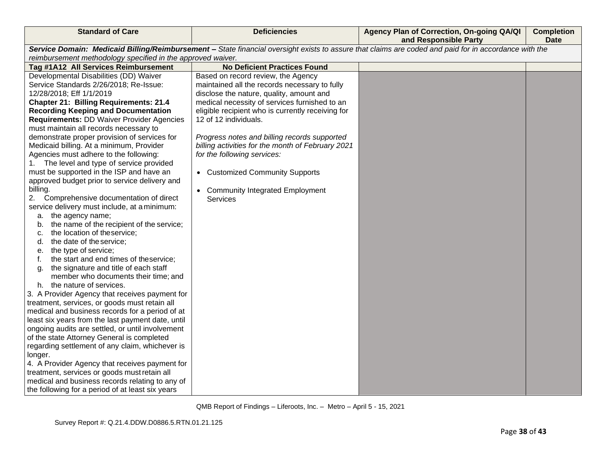| <b>Standard of Care</b>                                                                                                                               | <b>Deficiencies</b>                               | Agency Plan of Correction, On-going QA/QI<br>and Responsible Party | <b>Completion</b><br><b>Date</b> |
|-------------------------------------------------------------------------------------------------------------------------------------------------------|---------------------------------------------------|--------------------------------------------------------------------|----------------------------------|
| Service Domain: Medicaid Billing/Reimbursement - State financial oversight exists to assure that claims are coded and paid for in accordance with the |                                                   |                                                                    |                                  |
| reimbursement methodology specified in the approved waiver.                                                                                           |                                                   |                                                                    |                                  |
| Tag #1A12 All Services Reimbursement                                                                                                                  | <b>No Deficient Practices Found</b>               |                                                                    |                                  |
| Developmental Disabilities (DD) Waiver                                                                                                                | Based on record review, the Agency                |                                                                    |                                  |
| Service Standards 2/26/2018; Re-Issue:                                                                                                                | maintained all the records necessary to fully     |                                                                    |                                  |
| 12/28/2018; Eff 1/1/2019                                                                                                                              | disclose the nature, quality, amount and          |                                                                    |                                  |
| <b>Chapter 21: Billing Requirements: 21.4</b>                                                                                                         | medical necessity of services furnished to an     |                                                                    |                                  |
| <b>Recording Keeping and Documentation</b>                                                                                                            | eligible recipient who is currently receiving for |                                                                    |                                  |
| <b>Requirements: DD Waiver Provider Agencies</b>                                                                                                      | 12 of 12 individuals.                             |                                                                    |                                  |
| must maintain all records necessary to                                                                                                                |                                                   |                                                                    |                                  |
| demonstrate proper provision of services for                                                                                                          | Progress notes and billing records supported      |                                                                    |                                  |
| Medicaid billing. At a minimum, Provider                                                                                                              | billing activities for the month of February 2021 |                                                                    |                                  |
| Agencies must adhere to the following:                                                                                                                | for the following services:                       |                                                                    |                                  |
| The level and type of service provided<br>1.                                                                                                          |                                                   |                                                                    |                                  |
| must be supported in the ISP and have an                                                                                                              | • Customized Community Supports                   |                                                                    |                                  |
| approved budget prior to service delivery and                                                                                                         |                                                   |                                                                    |                                  |
| billing.                                                                                                                                              | <b>Community Integrated Employment</b>            |                                                                    |                                  |
| 2.<br>Comprehensive documentation of direct                                                                                                           | <b>Services</b>                                   |                                                                    |                                  |
| service delivery must include, at a minimum:                                                                                                          |                                                   |                                                                    |                                  |
| a. the agency name;                                                                                                                                   |                                                   |                                                                    |                                  |
| the name of the recipient of the service;<br>b.                                                                                                       |                                                   |                                                                    |                                  |
| the location of theservice;<br>c.                                                                                                                     |                                                   |                                                                    |                                  |
| the date of the service;<br>d.                                                                                                                        |                                                   |                                                                    |                                  |
| the type of service;<br>е.                                                                                                                            |                                                   |                                                                    |                                  |
| the start and end times of theservice;<br>f.                                                                                                          |                                                   |                                                                    |                                  |
| the signature and title of each staff<br>g.                                                                                                           |                                                   |                                                                    |                                  |
| member who documents their time; and                                                                                                                  |                                                   |                                                                    |                                  |
| h. the nature of services.                                                                                                                            |                                                   |                                                                    |                                  |
| 3. A Provider Agency that receives payment for                                                                                                        |                                                   |                                                                    |                                  |
| treatment, services, or goods must retain all                                                                                                         |                                                   |                                                                    |                                  |
| medical and business records for a period of at                                                                                                       |                                                   |                                                                    |                                  |
| least six years from the last payment date, until                                                                                                     |                                                   |                                                                    |                                  |
| ongoing audits are settled, or until involvement                                                                                                      |                                                   |                                                                    |                                  |
| of the state Attorney General is completed                                                                                                            |                                                   |                                                                    |                                  |
| regarding settlement of any claim, whichever is                                                                                                       |                                                   |                                                                    |                                  |
| longer.                                                                                                                                               |                                                   |                                                                    |                                  |
| 4. A Provider Agency that receives payment for                                                                                                        |                                                   |                                                                    |                                  |
| treatment, services or goods must retain all                                                                                                          |                                                   |                                                                    |                                  |
| medical and business records relating to any of                                                                                                       |                                                   |                                                                    |                                  |
| the following for a period of at least six years                                                                                                      |                                                   |                                                                    |                                  |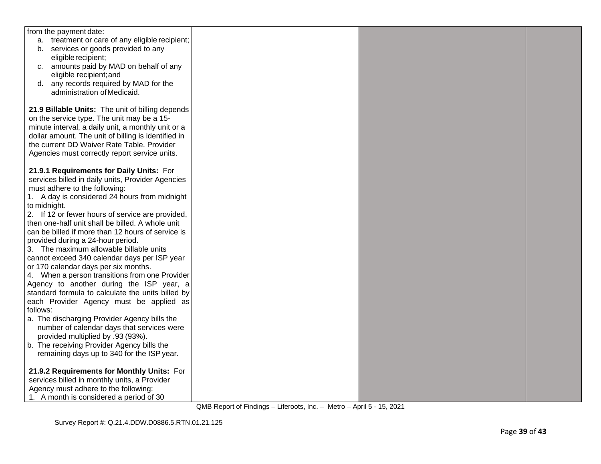| from the payment date:                                                                               |  |  |
|------------------------------------------------------------------------------------------------------|--|--|
| a. treatment or care of any eligible recipient;                                                      |  |  |
| b. services or goods provided to any                                                                 |  |  |
| eligible recipient;                                                                                  |  |  |
| c. amounts paid by MAD on behalf of any                                                              |  |  |
| eligible recipient; and                                                                              |  |  |
| d. any records required by MAD for the                                                               |  |  |
| administration of Medicaid.                                                                          |  |  |
|                                                                                                      |  |  |
| 21.9 Billable Units: The unit of billing depends                                                     |  |  |
| on the service type. The unit may be a 15-                                                           |  |  |
| minute interval, a daily unit, a monthly unit or a                                                   |  |  |
| dollar amount. The unit of billing is identified in                                                  |  |  |
| the current DD Waiver Rate Table. Provider                                                           |  |  |
| Agencies must correctly report service units.                                                        |  |  |
|                                                                                                      |  |  |
| 21.9.1 Requirements for Daily Units: For                                                             |  |  |
| services billed in daily units, Provider Agencies                                                    |  |  |
| must adhere to the following:                                                                        |  |  |
| 1. A day is considered 24 hours from midnight                                                        |  |  |
| to midnight.                                                                                         |  |  |
|                                                                                                      |  |  |
| 2. If 12 or fewer hours of service are provided,<br>then one-half unit shall be billed. A whole unit |  |  |
| can be billed if more than 12 hours of service is                                                    |  |  |
|                                                                                                      |  |  |
| provided during a 24-hour period.                                                                    |  |  |
| 3. The maximum allowable billable units                                                              |  |  |
| cannot exceed 340 calendar days per ISP year                                                         |  |  |
| or 170 calendar days per six months.                                                                 |  |  |
| 4. When a person transitions from one Provider                                                       |  |  |
| Agency to another during the ISP year, a                                                             |  |  |
| standard formula to calculate the units billed by                                                    |  |  |
| each Provider Agency must be applied as<br>follows:                                                  |  |  |
|                                                                                                      |  |  |
| a. The discharging Provider Agency bills the                                                         |  |  |
| number of calendar days that services were                                                           |  |  |
| provided multiplied by .93 (93%).                                                                    |  |  |
| b. The receiving Provider Agency bills the                                                           |  |  |
| remaining days up to 340 for the ISP year.                                                           |  |  |
|                                                                                                      |  |  |
| 21.9.2 Requirements for Monthly Units: For                                                           |  |  |
| services billed in monthly units, a Provider                                                         |  |  |
| Agency must adhere to the following:                                                                 |  |  |
| 1. A month is considered a period of 30                                                              |  |  |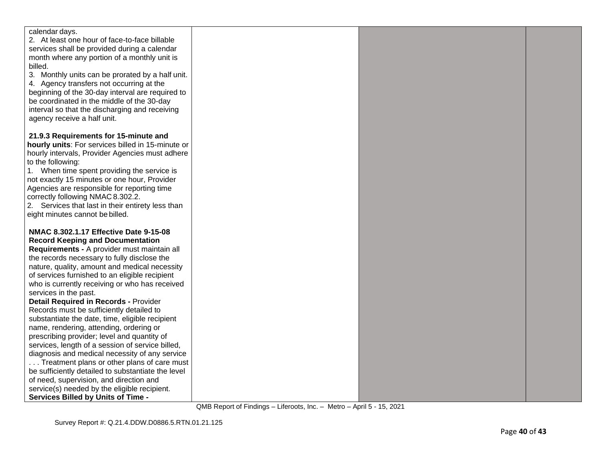| calendar days.                                     |  |  |
|----------------------------------------------------|--|--|
| 2. At least one hour of face-to-face billable      |  |  |
| services shall be provided during a calendar       |  |  |
| month where any portion of a monthly unit is       |  |  |
| billed.                                            |  |  |
| 3. Monthly units can be prorated by a half unit.   |  |  |
| 4. Agency transfers not occurring at the           |  |  |
| beginning of the 30-day interval are required to   |  |  |
| be coordinated in the middle of the 30-day         |  |  |
| interval so that the discharging and receiving     |  |  |
| agency receive a half unit.                        |  |  |
|                                                    |  |  |
| 21.9.3 Requirements for 15-minute and              |  |  |
| hourly units: For services billed in 15-minute or  |  |  |
| hourly intervals, Provider Agencies must adhere    |  |  |
| to the following:                                  |  |  |
| 1. When time spent providing the service is        |  |  |
| not exactly 15 minutes or one hour, Provider       |  |  |
| Agencies are responsible for reporting time        |  |  |
| correctly following NMAC 8.302.2.                  |  |  |
| 2. Services that last in their entirety less than  |  |  |
| eight minutes cannot be billed.                    |  |  |
| NMAC 8.302.1.17 Effective Date 9-15-08             |  |  |
| <b>Record Keeping and Documentation</b>            |  |  |
| Requirements - A provider must maintain all        |  |  |
| the records necessary to fully disclose the        |  |  |
| nature, quality, amount and medical necessity      |  |  |
| of services furnished to an eligible recipient     |  |  |
| who is currently receiving or who has received     |  |  |
| services in the past.                              |  |  |
| <b>Detail Required in Records - Provider</b>       |  |  |
| Records must be sufficiently detailed to           |  |  |
| substantiate the date, time, eligible recipient    |  |  |
| name, rendering, attending, ordering or            |  |  |
| prescribing provider; level and quantity of        |  |  |
| services, length of a session of service billed,   |  |  |
| diagnosis and medical necessity of any service     |  |  |
| Treatment plans or other plans of care must        |  |  |
| be sufficiently detailed to substantiate the level |  |  |
| of need, supervision, and direction and            |  |  |
| service(s) needed by the eligible recipient.       |  |  |
| <b>Services Billed by Units of Time -</b>          |  |  |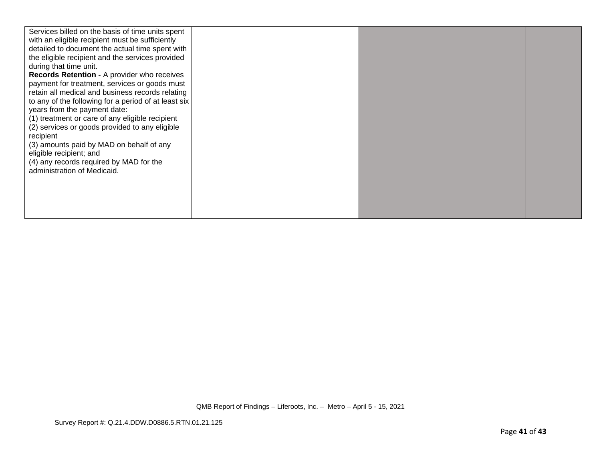| Services billed on the basis of time units spent     |  |  |
|------------------------------------------------------|--|--|
| with an eligible recipient must be sufficiently      |  |  |
| detailed to document the actual time spent with      |  |  |
| the eligible recipient and the services provided     |  |  |
| during that time unit.                               |  |  |
| Records Retention - A provider who receives          |  |  |
| payment for treatment, services or goods must        |  |  |
| retain all medical and business records relating     |  |  |
| to any of the following for a period of at least six |  |  |
| years from the payment date:                         |  |  |
| (1) treatment or care of any eligible recipient      |  |  |
| (2) services or goods provided to any eligible       |  |  |
| recipient                                            |  |  |
| (3) amounts paid by MAD on behalf of any             |  |  |
| eligible recipient; and                              |  |  |
| (4) any records required by MAD for the              |  |  |
| administration of Medicaid.                          |  |  |
|                                                      |  |  |
|                                                      |  |  |
|                                                      |  |  |
|                                                      |  |  |
|                                                      |  |  |
|                                                      |  |  |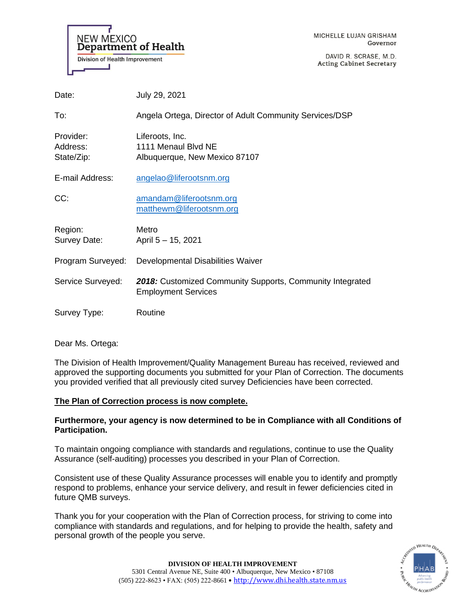

DAVID R. SCRASE, M.D. **Acting Cabinet Secretary** 

| Date:                               | July 29, 2021                                                                           |
|-------------------------------------|-----------------------------------------------------------------------------------------|
| To:                                 | Angela Ortega, Director of Adult Community Services/DSP                                 |
| Provider:<br>Address:<br>State/Zip: | Liferoots, Inc.<br>1111 Menaul Blvd NE<br>Albuquerque, New Mexico 87107                 |
| E-mail Address:                     | angelao@liferootsnm.org                                                                 |
| CC:                                 | amandam@liferootsnm.org<br>matthewm@liferootsnm.org                                     |
| Region:<br>Survey Date:             | Metro<br>April 5 - 15, 2021                                                             |
| Program Surveyed:                   | Developmental Disabilities Waiver                                                       |
| Service Surveyed:                   | 2018: Customized Community Supports, Community Integrated<br><b>Employment Services</b> |
| Survey Type:                        | Routine                                                                                 |

Dear Ms. Ortega:

The Division of Health Improvement/Quality Management Bureau has received, reviewed and approved the supporting documents you submitted for your Plan of Correction. The documents you provided verified that all previously cited survey Deficiencies have been corrected.

# **The Plan of Correction process is now complete.**

# **Furthermore, your agency is now determined to be in Compliance with all Conditions of Participation.**

To maintain ongoing compliance with standards and regulations, continue to use the Quality Assurance (self-auditing) processes you described in your Plan of Correction.

Consistent use of these Quality Assurance processes will enable you to identify and promptly respond to problems, enhance your service delivery, and result in fewer deficiencies cited in future QMB surveys.

Thank you for your cooperation with the Plan of Correction process, for striving to come into compliance with standards and regulations, and for helping to provide the health, safety and personal growth of the people you serve.